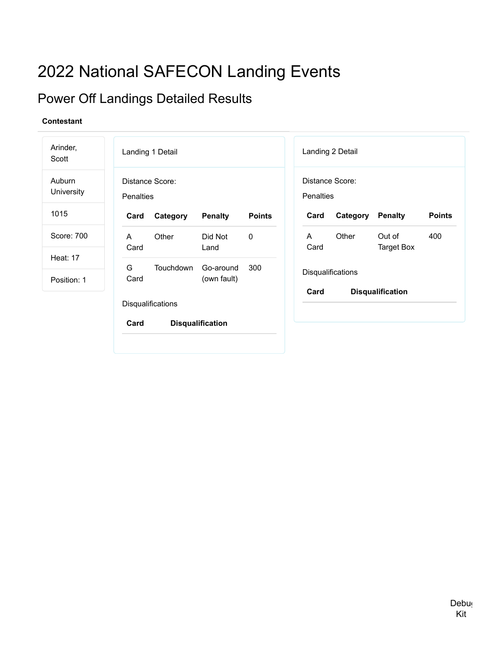# 2022 National SAFECON Landing Events

## Power Off Landings Detailed Results

| Arinder,<br>Scott              | Landing 1 Detail                    |                          |               |                              | Landing 2 Detail  |                             |               |
|--------------------------------|-------------------------------------|--------------------------|---------------|------------------------------|-------------------|-----------------------------|---------------|
| Auburn<br>University           | Distance Score:<br><b>Penalties</b> |                          |               | Distance Score:<br>Penalties |                   |                             |               |
| 1015                           | Category<br>Card                    | <b>Penalty</b>           | <b>Points</b> | Card                         | Category          | <b>Penalty</b>              | <b>Points</b> |
| Score: 700                     | Other<br>A<br>Card                  | Did Not<br>Land          | 0             | A<br>Card                    | Other             | Out of<br><b>Target Box</b> | 400           |
| <b>Heat: 17</b><br>Position: 1 | G<br>Touchdown<br>Card              | Go-around<br>(own fault) | 300           |                              | Disqualifications |                             |               |
|                                | Disqualifications<br>Card           | <b>Disqualification</b>  |               | Card                         |                   | <b>Disqualification</b>     |               |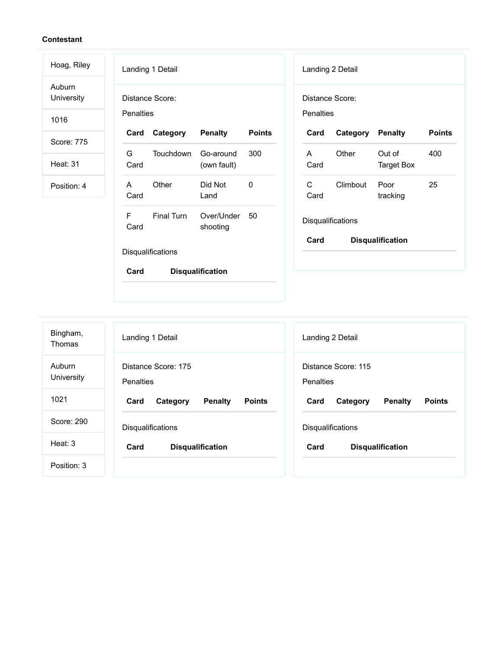| Hoag, Riley          | Landing 1 Detail                                                   | Landing 2 Detail                                           |
|----------------------|--------------------------------------------------------------------|------------------------------------------------------------|
| Auburn<br>University | Distance Score:                                                    | Distance Score:                                            |
| 1016                 | Penalties                                                          | Penalties                                                  |
| Score: 775           | <b>Penalty</b><br><b>Points</b><br>Category<br>Card                | Category<br><b>Penalty</b><br><b>Points</b><br>Card        |
| <b>Heat: 31</b>      | Touchdown<br>300<br>G<br>Go-around<br>Card<br>(own fault)          | Other<br>Out of<br>400<br>A<br>Card<br><b>Target Box</b>   |
| Position: 4          | Other<br>$\mathbf 0$<br>Did Not<br>$\mathsf{A}$<br>Card<br>Land    | $\mathsf{C}$<br>25<br>Climbout<br>Poor<br>tracking<br>Card |
|                      | $\mathsf{F}$<br>Final Turn<br>Over/Under<br>50<br>Card<br>shooting | Disqualifications                                          |
|                      | Disqualifications                                                  | Card<br><b>Disqualification</b>                            |
|                      | Card<br><b>Disqualification</b>                                    |                                                            |

| Bingham,<br>Thomas   | Landing 1 Detail                                    | Landing 2 Detail                                    |
|----------------------|-----------------------------------------------------|-----------------------------------------------------|
| Auburn<br>University | Distance Score: 175<br>Penalties                    | Distance Score: 115<br>Penalties                    |
| 1021                 | <b>Penalty</b><br><b>Points</b><br>Card<br>Category | <b>Points</b><br>Card<br>Category<br><b>Penalty</b> |
| Score: 290           | <b>Disqualifications</b>                            | <b>Disqualifications</b>                            |
| Heat: 3              | Card<br><b>Disqualification</b>                     | Card<br><b>Disqualification</b>                     |
| Position: 3          |                                                     |                                                     |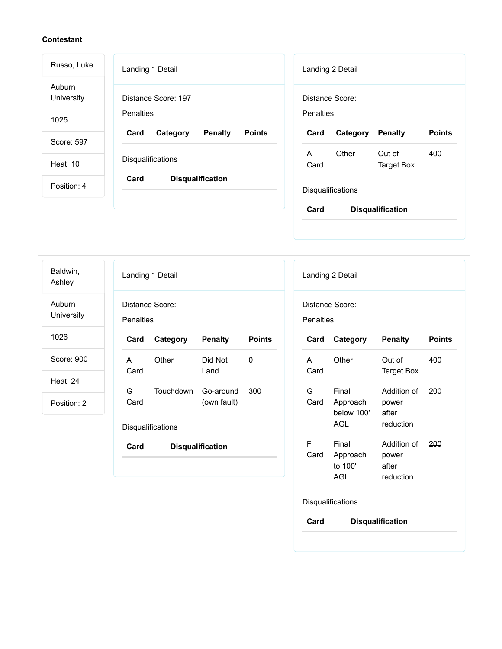| Russo, Luke          | Landing 1 Detail                                    | Landing 2 Detail                                         |
|----------------------|-----------------------------------------------------|----------------------------------------------------------|
| Auburn<br>University | Distance Score: 197                                 | Distance Score:                                          |
| 1025                 | <b>Penalties</b>                                    | Penalties                                                |
| Score: 597           | <b>Penalty</b><br>Card<br><b>Points</b><br>Category | <b>Points</b><br>Card<br><b>Penalty</b><br>Category      |
| Heat: 10             | <b>Disqualifications</b>                            | Other<br>Out of<br>400<br>A<br>Card<br><b>Target Box</b> |
| Position: 4          | Card<br><b>Disqualification</b>                     | <b>Disqualifications</b>                                 |
|                      |                                                     | Card<br><b>Disqualification</b>                          |

Landing 1 Detail Distance Score: Penalties **Card Category Penalty Points** A Card Other Did Not Land 0 G Card Touchdown Go-around (own fault) 300 **Disqualifications Card Disqualification** Baldwin, Ashley Auburn **University** 1026 Score: 900 Heat: 24 Position: 2

|                                 | Landing 2 Detail                       |                                            |               |  |  |
|---------------------------------|----------------------------------------|--------------------------------------------|---------------|--|--|
| Distance Score:<br>Penalties    |                                        |                                            |               |  |  |
| Card                            | Category                               | <b>Penalty</b>                             | <b>Points</b> |  |  |
| A<br>Card                       | Other                                  | Out of<br><b>Target Box</b>                | 400           |  |  |
| G<br>Card                       | Final<br>Approach<br>below 100'<br>AGL | Addition of<br>power<br>after<br>reduction | 200           |  |  |
| F<br>Card                       | Final<br>Approach<br>to 100'<br>AGL    | Addition of<br>power<br>after<br>reduction | 200           |  |  |
|                                 | Disqualifications                      |                                            |               |  |  |
| <b>Disqualification</b><br>Card |                                        |                                            |               |  |  |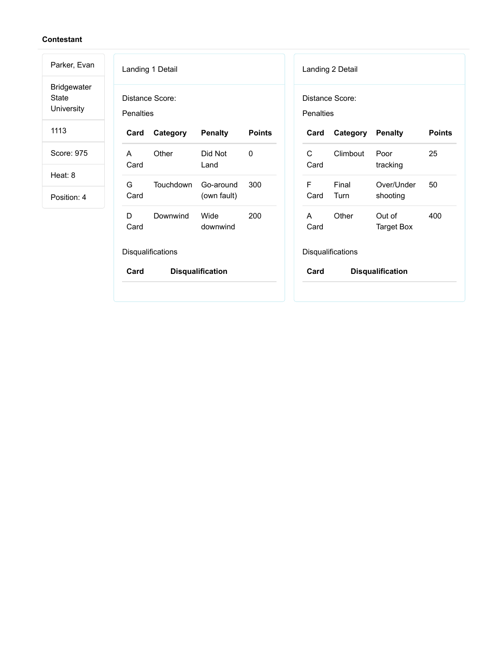| Parker, Evan                                     | Landing 1 Detail                                          | Landing 2 Detail                                                    |  |  |  |
|--------------------------------------------------|-----------------------------------------------------------|---------------------------------------------------------------------|--|--|--|
| <b>Bridgewater</b><br><b>State</b><br>University | Distance Score:<br><b>Penalties</b>                       | Distance Score:<br><b>Penalties</b>                                 |  |  |  |
| 1113                                             | Card<br>Category<br><b>Penalty</b><br><b>Points</b>       | <b>Points</b><br>Card<br>Category<br><b>Penalty</b>                 |  |  |  |
| Score: 975                                       | Other<br>$\mathbf{0}$<br>Did Not<br>A<br>Card<br>Land     | C<br>25<br>Climbout<br>Poor<br>Card<br>tracking                     |  |  |  |
| Heat: 8<br>Position: 4                           | G<br>Touchdown<br>300<br>Go-around<br>(own fault)<br>Card | Final<br>F<br>Over/Under<br>50<br>Card<br>Turn<br>shooting          |  |  |  |
|                                                  | D<br>Wide<br>200<br>Downwind<br>Card<br>downwind          | Other<br>Out of<br>400<br>$\mathsf{A}$<br>Card<br><b>Target Box</b> |  |  |  |
|                                                  | Disqualifications                                         | Disqualifications                                                   |  |  |  |
|                                                  | Card<br><b>Disqualification</b>                           | Card<br><b>Disqualification</b>                                     |  |  |  |
|                                                  |                                                           |                                                                     |  |  |  |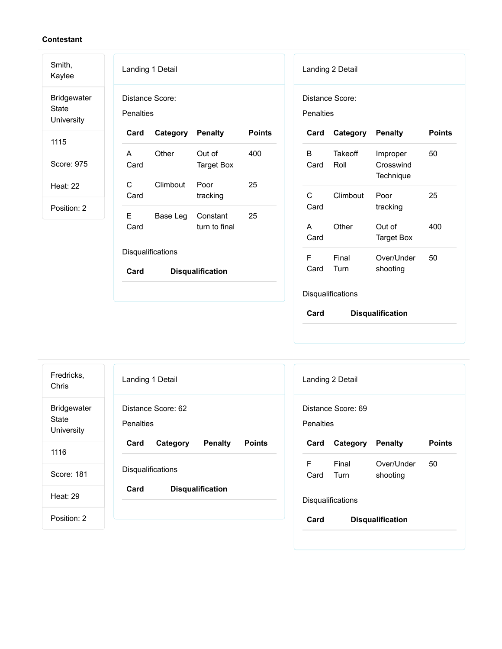| Smith,<br>Kaylee                                 | Landing 1 Detail                                         | Landing 2 Detail                                                                |
|--------------------------------------------------|----------------------------------------------------------|---------------------------------------------------------------------------------|
| <b>Bridgewater</b><br><b>State</b><br>University | Distance Score:<br>Penalties                             | Distance Score:<br>Penalties                                                    |
| 1115                                             | Card<br>Category<br><b>Penalty</b><br><b>Points</b>      | Category<br><b>Penalty</b><br><b>Points</b><br>Card                             |
| Score: 975                                       | Other<br>Out of<br>400<br>A<br>Card<br><b>Target Box</b> | <b>Takeoff</b><br>B<br>50<br>Improper<br>Roll<br>Crosswind<br>Card<br>Technique |
| <b>Heat: 22</b>                                  | $\mathsf{C}$<br>25<br>Climbout<br>Poor                   | $\mathsf{C}$<br>25<br>Poor                                                      |
| Position: 2                                      | Card<br>tracking                                         | Climbout<br>Card<br>tracking                                                    |
|                                                  | E<br>25<br>Base Leg<br>Constant<br>Card<br>turn to final | Other<br>400<br>Out of<br>A<br>Card<br><b>Target Box</b>                        |
|                                                  | Disqualifications                                        | F<br>Final<br>Over/Under<br>50                                                  |
|                                                  | Card<br><b>Disqualification</b>                          | Turn<br>Card<br>shooting                                                        |
|                                                  |                                                          | Disqualifications                                                               |
|                                                  |                                                          | Card<br><b>Disqualification</b>                                                 |

| Fredricks,<br>Chris                                     | Landing 1 Detail                                    | Landing 2 Detail                                    |  |  |  |
|---------------------------------------------------------|-----------------------------------------------------|-----------------------------------------------------|--|--|--|
| <b>Bridgewater</b><br><b>State</b><br><b>University</b> | Distance Score: 62<br><b>Penalties</b>              | Distance Score: 69<br>Penalties                     |  |  |  |
| 1116                                                    | <b>Points</b><br>Card<br><b>Penalty</b><br>Category | <b>Penalty</b><br><b>Points</b><br>Card<br>Category |  |  |  |
|                                                         |                                                     | F<br>Final<br>Over/Under<br>50                      |  |  |  |
| Score: 181                                              | <b>Disqualifications</b>                            | shooting<br>Card<br>Turn                            |  |  |  |
| Heat: 29                                                | Card<br><b>Disqualification</b>                     | <b>Disqualifications</b>                            |  |  |  |
| Position: 2                                             |                                                     | Card<br><b>Disqualification</b>                     |  |  |  |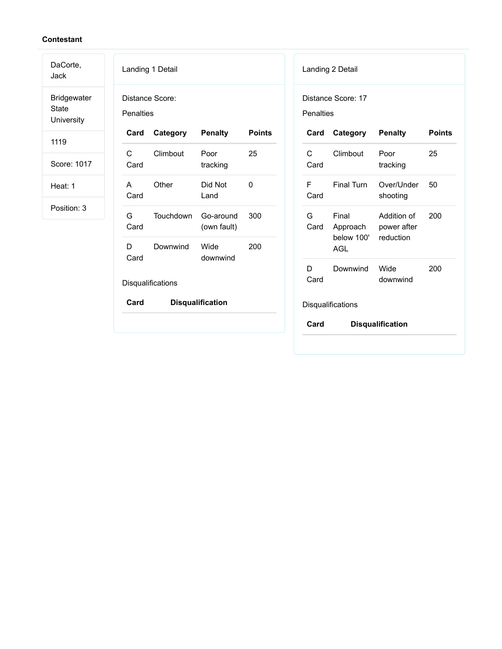DaCorte,

Jack Bridgewater State University

1119

Score: 1017

Heat: 1

|             | Distance Score:   |                          |               |
|-------------|-------------------|--------------------------|---------------|
| Penalties   |                   |                          |               |
| Card        | Category          | <b>Penalty</b>           | <b>Points</b> |
| C<br>Card   | Climbout          | Poor<br>tracking         | 25            |
| A<br>Card   | Other             | Did Not<br>Land          | 0             |
| G –<br>Card | Touchdown         | Go-around<br>(own fault) | 300           |
| D.<br>Card  | Downwind          | Wide<br>downwind         | 200           |
|             | Disqualifications |                          |               |
| Card        |                   | <b>Disqualification</b>  |               |

| <b>Penalties</b> | Distance Score: 17                     |                                         |               |
|------------------|----------------------------------------|-----------------------------------------|---------------|
| Card             | Category                               | <b>Penalty</b>                          | <b>Points</b> |
| C<br>Card        | Climbout                               | Poor<br>tracking                        | 25            |
| F<br>Card        | <b>Final Turn</b>                      | Over/Under<br>shooting                  | 50            |
| G<br>Card        | Final<br>Approach<br>below 100'<br>AGL | Addition of<br>power after<br>reduction | 200           |
| D<br>Card        | Downwind                               | Wide<br>downwind                        | 200           |
|                  | Disqualifications                      |                                         |               |
| Card             |                                        | <b>Disqualification</b>                 |               |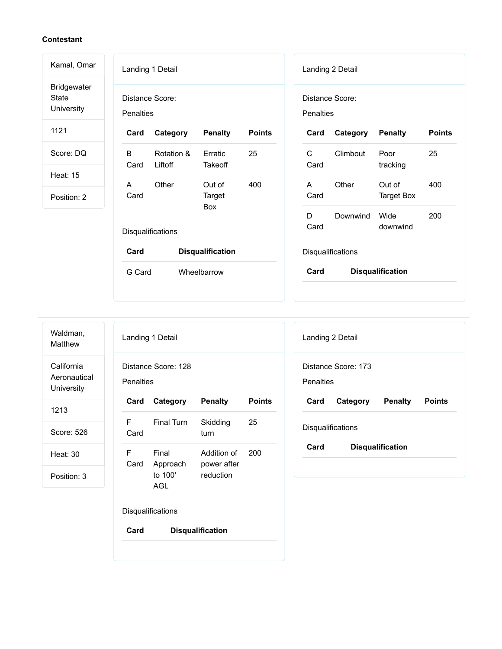| Kamal, Omar                                      | Landing 1 Detail                    |                       |                         |               |                                     | Landing 2 Detail  |                         |               |
|--------------------------------------------------|-------------------------------------|-----------------------|-------------------------|---------------|-------------------------------------|-------------------|-------------------------|---------------|
| <b>Bridgewater</b><br><b>State</b><br>University | Distance Score:<br><b>Penalties</b> |                       |                         |               | Distance Score:<br><b>Penalties</b> |                   |                         |               |
| 1121                                             | Card                                | Category              | <b>Penalty</b>          | <b>Points</b> | Card                                | Category          | <b>Penalty</b>          | <b>Points</b> |
| Score: DQ                                        | B<br>Card                           | Rotation &<br>Liftoff | Erratic<br>Takeoff      | 25            | $\mathsf{C}$<br>Card                | Climbout          | Poor<br>tracking        | 25            |
| <b>Heat: 15</b>                                  | A                                   | Other                 | Out of                  | 400           | $\mathsf{A}$                        | Other             | Out of                  | 400           |
| Position: 2                                      | Card                                |                       | Target<br>Box           |               | Card                                |                   | <b>Target Box</b>       |               |
|                                                  | Disqualifications                   |                       |                         |               | D<br>Card                           | Downwind          | Wide<br>downwind        | 200           |
|                                                  | Card                                |                       | <b>Disqualification</b> |               |                                     | Disqualifications |                         |               |
|                                                  | G Card                              |                       | Wheelbarrow             |               | Card                                |                   | <b>Disqualification</b> |               |

| Waldman, |  |
|----------|--|
| Matthew  |  |

**California** Aeronautical **University** 

1213

Score: 526

Heat: 30

| Landing 1 Detail                 |                                                      |                          |               |  |
|----------------------------------|------------------------------------------------------|--------------------------|---------------|--|
| Distance Score: 128<br>Penalties |                                                      |                          |               |  |
| Card                             | Category Penalty                                     |                          | <b>Points</b> |  |
| F<br>Card                        | <b>Final Turn</b>                                    | Skidding<br>turn         | 25            |  |
| F                                | Final<br>Card Approach power after<br>to 100'<br>AGL | Addition of<br>reduction | 200           |  |
| <b>Disqualifications</b>         |                                                      |                          |               |  |
| Card<br><b>Disqualification</b>  |                                                      |                          |               |  |

| Landing 2 Detail                |                  |  |        |
|---------------------------------|------------------|--|--------|
| Distance Score: 173             |                  |  |        |
| Penalties                       |                  |  |        |
| Card                            | Category Penalty |  | Points |
| <b>Disqualifications</b>        |                  |  |        |
| Card<br><b>Disqualification</b> |                  |  |        |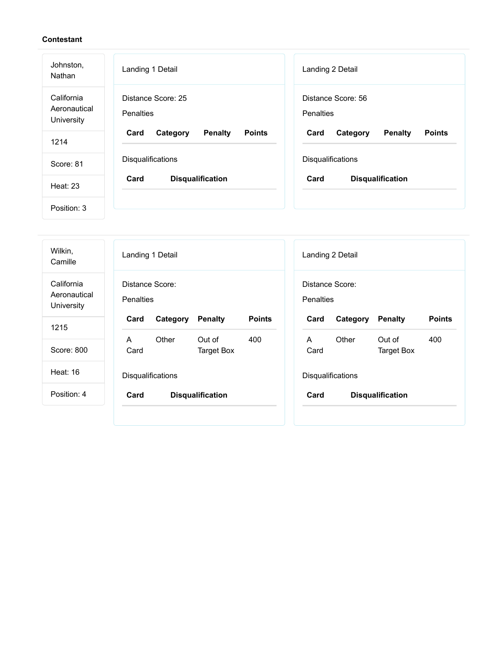| Johnston,<br>Nathan                      | Landing 1 Detail                                    | Landing 2 Detail                                    |
|------------------------------------------|-----------------------------------------------------|-----------------------------------------------------|
| California<br>Aeronautical<br>University | Distance Score: 25<br><b>Penalties</b>              | Distance Score: 56<br>Penalties                     |
| 1214                                     | Card<br><b>Penalty</b><br><b>Points</b><br>Category | Card<br><b>Penalty</b><br><b>Points</b><br>Category |
| Score: 81                                | Disqualifications                                   | Disqualifications                                   |
| Heat: 23                                 | Card<br><b>Disqualification</b>                     | Card<br><b>Disqualification</b>                     |
| Position: 3                              |                                                     |                                                     |

| Wilkin,<br>Camille                       | Landing 1 Detail                                    | Landing 2 Detail                                    |
|------------------------------------------|-----------------------------------------------------|-----------------------------------------------------|
| California<br>Aeronautical<br>University | Distance Score:<br>Penalties                        | Distance Score:<br>Penalties                        |
| 1215                                     | <b>Points</b><br>Category<br><b>Penalty</b><br>Card | Category<br><b>Penalty</b><br><b>Points</b><br>Card |
|                                          | Other<br>Out of<br>400<br>A                         | Other<br>Out of<br>400<br>A                         |
| Score: 800                               | Card<br><b>Target Box</b>                           | Card<br><b>Target Box</b>                           |
| <b>Heat: 16</b>                          | Disqualifications                                   | Disqualifications                                   |
| Position: 4                              | <b>Disqualification</b><br>Card                     | Card<br><b>Disqualification</b>                     |
|                                          |                                                     |                                                     |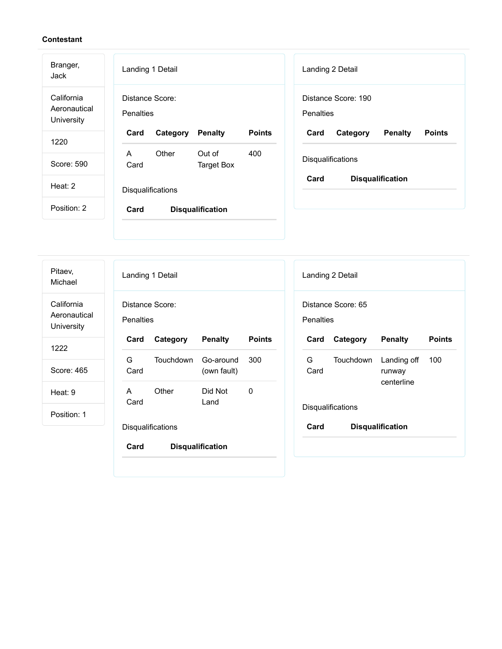Landing 1 Detail Distance Score: **Penalties Card Category Penalty Points** A Card Other Out of Target Box 400 **Disqualifications Card Disqualification** Landing 2 Detail Distance Score: 190 **Penalties Card Category Penalty Points Disqualifications Card Disqualification** Branger, Jack California Aeronautical **University** 1220 Score: 590 Heat: 2 Position: 2

Landing 1 Detail Distance Score: **Penalties Card Category Penalty Points** G Card Touchdown Go-around (own fault) 300 A Card Other Did Not Land 0 **Disqualifications Card Disqualification** Landing 2 Detail Distance Score: 65 **Penalties Card Category Penalty Points** G Card Touchdown Landing off runway centerline 100 **Disqualifications Card Disqualification** Pitaev, Michael California Aeronautical **University** 1222 Score: 465 Heat: 9 Position: 1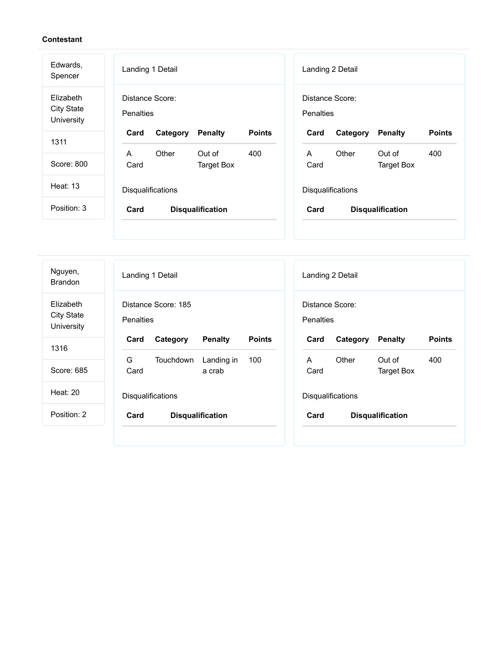| Edwards,<br>Spencer                          | Landing 1 Detail                                    | Landing 2 Detail                                    |
|----------------------------------------------|-----------------------------------------------------|-----------------------------------------------------|
| Elizabeth<br><b>City State</b><br>University | Distance Score:<br>Penalties                        | Distance Score:<br>Penalties                        |
| 1311                                         | <b>Points</b><br><b>Penalty</b><br>Card<br>Category | <b>Points</b><br>Card<br>Category<br><b>Penalty</b> |
|                                              | $\mathsf{A}$<br>Other<br>Out of<br>400              | Other<br>$\mathsf{A}$<br>Out of<br>400              |
| Score: 800                                   | <b>Target Box</b><br>Card                           | Card<br><b>Target Box</b>                           |
| <b>Heat: 13</b>                              | Disqualifications                                   | Disqualifications                                   |
| Position: 3                                  | Card<br><b>Disqualification</b>                     | Card<br><b>Disqualification</b>                     |
|                                              |                                                     |                                                     |
|                                              |                                                     |                                                     |

| Nguyen,<br><b>Brandon</b>                    | Landing 1 Detail<br>Landing 2 Detail                                                                       |
|----------------------------------------------|------------------------------------------------------------------------------------------------------------|
| Elizabeth<br><b>City State</b><br>University | Distance Score: 185<br>Distance Score:<br>Penalties<br><b>Penalties</b>                                    |
| 1316                                         | <b>Points</b><br><b>Points</b><br><b>Penalty</b><br><b>Penalty</b><br>Card<br>Category<br>Card<br>Category |
|                                              | G<br>Other<br>Landing in<br>100<br>A<br>Out of<br>400<br>Touchdown                                         |
| Score: 685                                   | Card<br>Card<br>a crab<br><b>Target Box</b>                                                                |
| Heat: 20                                     | <b>Disqualifications</b><br><b>Disqualifications</b>                                                       |
| Position: 2                                  | Card<br>Card<br><b>Disqualification</b><br><b>Disqualification</b>                                         |
|                                              |                                                                                                            |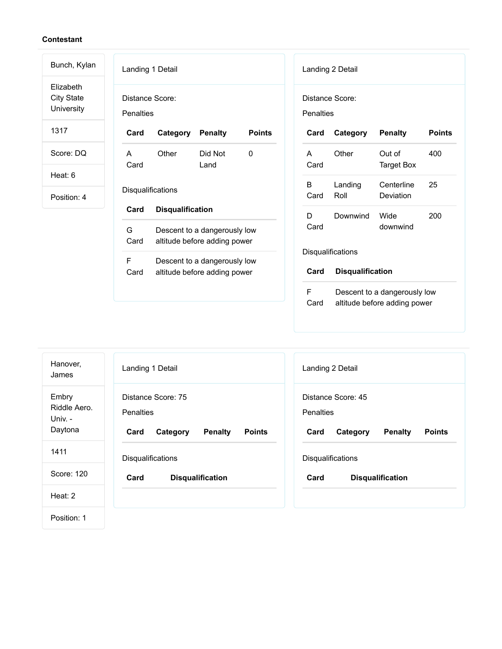| Bunch, Kylan                                 | Landing 1 Detail<br>Landing 2 Detail                                                                                         |
|----------------------------------------------|------------------------------------------------------------------------------------------------------------------------------|
| Elizabeth<br><b>City State</b><br>University | Distance Score:<br>Distance Score:<br>Penalties<br><b>Penalties</b>                                                          |
| 1317                                         | <b>Points</b><br><b>Points</b><br>Card<br>Category<br><b>Penalty</b><br>Card<br>Category<br><b>Penalty</b>                   |
| Score: DQ                                    | Other<br>Did Not<br>$\mathbf{0}$<br>Other<br>Out of<br>400<br>A<br>$\mathsf{A}$<br>Card<br>Card<br><b>Target Box</b><br>Land |
| Heat: 6                                      |                                                                                                                              |
| Position: 4                                  | B<br>25<br>Landing<br>Centerline<br>Disqualifications<br>Roll<br>Card<br>Deviation                                           |
|                                              | Card<br><b>Disqualification</b><br>200<br>D<br>Downwind<br>Wide                                                              |
|                                              | Card<br>downwind<br>G<br>Descent to a dangerously low<br>Card<br>altitude before adding power                                |
|                                              | Disqualifications<br>E<br>Descent to a dangerously low                                                                       |
|                                              | Card<br><b>Disqualification</b><br>Card<br>altitude before adding power                                                      |
|                                              | F<br>Descent to a dangerously low<br>Card<br>altitude before adding power                                                    |

| Hanover,<br>James                           | Landing 1 Detail                                                                       | Landing 2 Detail                                                                       |
|---------------------------------------------|----------------------------------------------------------------------------------------|----------------------------------------------------------------------------------------|
| Embry<br>Riddle Aero.<br>Univ. -<br>Daytona | Distance Score: 75<br>Penalties<br>Card<br><b>Penalty</b><br><b>Points</b><br>Category | Distance Score: 45<br>Penalties<br><b>Penalty</b><br><b>Points</b><br>Card<br>Category |
| 1411                                        | <b>Disqualifications</b>                                                               | <b>Disqualifications</b>                                                               |
| Score: 120                                  | Card<br><b>Disqualification</b>                                                        | Card<br><b>Disqualification</b>                                                        |
| Heat: $2$                                   |                                                                                        |                                                                                        |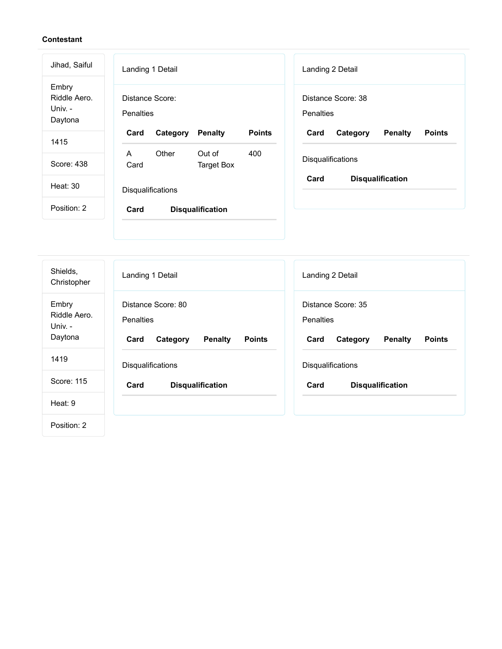$\overline{a}$ 

| Jihad, Saiful                               | Landing 1 Detail<br>Landing 2 Detail                                                                       |
|---------------------------------------------|------------------------------------------------------------------------------------------------------------|
| Embry<br>Riddle Aero.<br>Univ. -<br>Daytona | Distance Score:<br>Distance Score: 38<br>Penalties<br>Penalties                                            |
| 1415                                        | <b>Points</b><br>Card<br>Category<br><b>Penalty</b><br>Card<br>Category<br><b>Penalty</b><br><b>Points</b> |
| Score: 438                                  | Other<br>Out of<br>400<br>$\mathsf{A}$<br>Disqualifications<br>Card<br><b>Target Box</b>                   |
| <b>Heat: 30</b>                             | Card<br><b>Disqualification</b><br>Disqualifications                                                       |
| Position: 2                                 | Card<br><b>Disqualification</b>                                                                            |
|                                             |                                                                                                            |
|                                             |                                                                                                            |

| Shields,<br>Christopher                     | Landing 1 Detail                                                                              | Landing 2 Detail                                                                              |
|---------------------------------------------|-----------------------------------------------------------------------------------------------|-----------------------------------------------------------------------------------------------|
| Embry<br>Riddle Aero.<br>Univ. -<br>Daytona | Distance Score: 80<br><b>Penalties</b><br><b>Penalty</b><br><b>Points</b><br>Card<br>Category | Distance Score: 35<br><b>Penalties</b><br><b>Penalty</b><br>Card<br>Category<br><b>Points</b> |
| 1419                                        | Disqualifications                                                                             | Disqualifications                                                                             |
| Score: 115                                  | Card<br><b>Disqualification</b>                                                               | Card<br><b>Disqualification</b>                                                               |
| Heat: 9                                     |                                                                                               |                                                                                               |
| Position: 2                                 |                                                                                               |                                                                                               |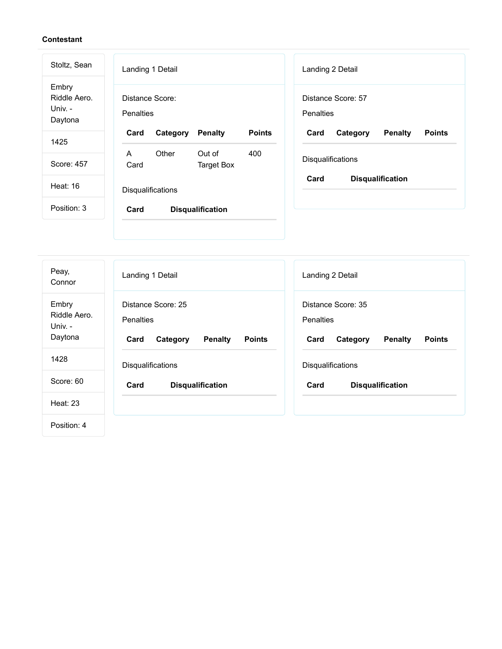| Stoltz, Sean                                | Landing 1 Detail<br>Landing 2 Detail                                                                       |
|---------------------------------------------|------------------------------------------------------------------------------------------------------------|
| Embry<br>Riddle Aero.<br>Univ. -<br>Daytona | Distance Score:<br>Distance Score: 57<br>Penalties<br>Penalties                                            |
| 1425                                        | <b>Points</b><br><b>Penalty</b><br><b>Penalty</b><br><b>Points</b><br>Card<br>Category<br>Card<br>Category |
|                                             | Other<br>Out of<br>$\mathsf{A}$<br>400<br>Disqualifications                                                |
| Score: 457                                  | <b>Target Box</b><br>Card                                                                                  |
| Heat: 16                                    | Card<br><b>Disqualification</b><br>Disqualifications                                                       |
| Position: 3                                 | Card<br><b>Disqualification</b>                                                                            |
|                                             |                                                                                                            |
|                                             |                                                                                                            |

| Peay,<br>Connor                             | Landing 1 Detail                                                                       | Landing 2 Detail                                                                              |
|---------------------------------------------|----------------------------------------------------------------------------------------|-----------------------------------------------------------------------------------------------|
| Embry<br>Riddle Aero.<br>Univ. -<br>Daytona | Distance Score: 25<br>Penalties<br>Card<br>Category<br><b>Penalty</b><br><b>Points</b> | Distance Score: 35<br><b>Penalties</b><br>Card<br>Category<br><b>Penalty</b><br><b>Points</b> |
| 1428                                        | Disqualifications                                                                      | Disqualifications                                                                             |
| Score: 60                                   | Card<br><b>Disqualification</b>                                                        | Card<br><b>Disqualification</b>                                                               |
| <b>Heat: 23</b>                             |                                                                                        |                                                                                               |
| Position: 4                                 |                                                                                        |                                                                                               |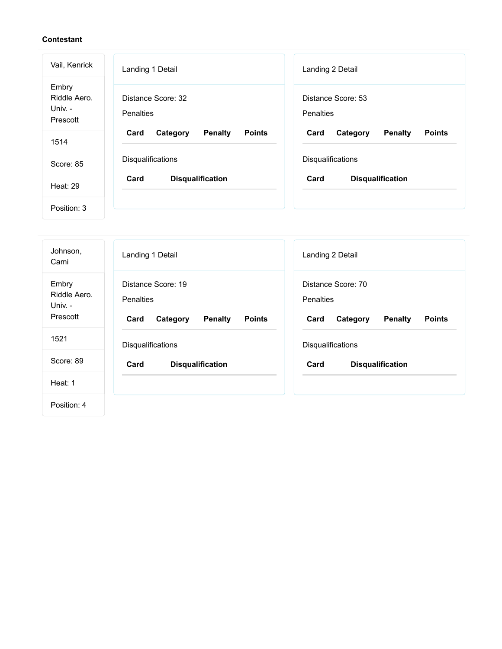| Vail, Kenrick                                | Landing 1 Detail                                    | Landing 2 Detail                                    |
|----------------------------------------------|-----------------------------------------------------|-----------------------------------------------------|
| Embry<br>Riddle Aero.<br>Univ. -<br>Prescott | Distance Score: 32<br><b>Penalties</b>              | Distance Score: 53<br><b>Penalties</b>              |
| 1514                                         | <b>Points</b><br>Card<br>Category<br><b>Penalty</b> | <b>Penalty</b><br>Card<br>Category<br><b>Points</b> |
| Score: 85                                    | Disqualifications                                   | Disqualifications                                   |
| <b>Heat: 29</b>                              | Card<br><b>Disqualification</b>                     | Card<br><b>Disqualification</b>                     |
| Position: 3                                  |                                                     |                                                     |

| Johnson,<br>Cami                             | Landing 1 Detail                                                                              | Landing 2 Detail                                                                              |
|----------------------------------------------|-----------------------------------------------------------------------------------------------|-----------------------------------------------------------------------------------------------|
| Embry<br>Riddle Aero.<br>Univ. -<br>Prescott | Distance Score: 19<br><b>Penalties</b><br>Card<br>Category<br><b>Penalty</b><br><b>Points</b> | Distance Score: 70<br><b>Penalties</b><br>Card<br><b>Points</b><br>Category<br><b>Penalty</b> |
| 1521                                         | Disqualifications                                                                             | Disqualifications                                                                             |
| Score: 89                                    | <b>Disqualification</b><br>Card                                                               | Card<br><b>Disqualification</b>                                                               |
| Heat: 1                                      |                                                                                               |                                                                                               |
| Position: 4                                  |                                                                                               |                                                                                               |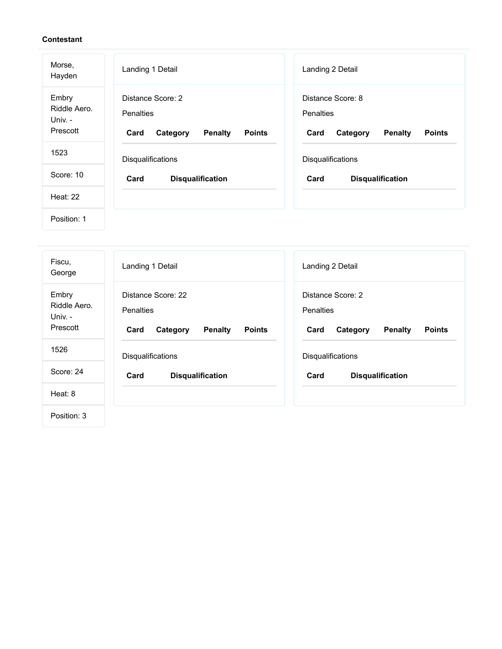| Morse,<br>Hayden                             | Landing 1 Detail                                                                             | Landing 2 Detail                                                                             |
|----------------------------------------------|----------------------------------------------------------------------------------------------|----------------------------------------------------------------------------------------------|
| Embry<br>Riddle Aero.<br>Univ. -<br>Prescott | Distance Score: 2<br><b>Penalties</b><br>Category<br><b>Penalty</b><br><b>Points</b><br>Card | Distance Score: 8<br><b>Penalties</b><br><b>Penalty</b><br><b>Points</b><br>Card<br>Category |
| 1523                                         | Disqualifications                                                                            | Disqualifications                                                                            |
| Score: 10                                    | Card<br><b>Disqualification</b>                                                              | Card<br><b>Disqualification</b>                                                              |
| <b>Heat: 22</b>                              |                                                                                              |                                                                                              |
| Position: 1                                  |                                                                                              |                                                                                              |

| Fiscu,<br>George                             | Landing 1 Detail                                                                              | Landing 2 Detail                                                                             |
|----------------------------------------------|-----------------------------------------------------------------------------------------------|----------------------------------------------------------------------------------------------|
| Embry<br>Riddle Aero.<br>Univ. -<br>Prescott | Distance Score: 22<br><b>Penalties</b><br>Card<br>Category<br><b>Penalty</b><br><b>Points</b> | Distance Score: 2<br><b>Penalties</b><br><b>Penalty</b><br><b>Points</b><br>Card<br>Category |
| 1526                                         | Disqualifications                                                                             | Disqualifications                                                                            |
| Score: 24                                    | Card<br><b>Disqualification</b>                                                               | Card<br><b>Disqualification</b>                                                              |
| Heat: $8$                                    |                                                                                               |                                                                                              |
| Position: 3                                  |                                                                                               |                                                                                              |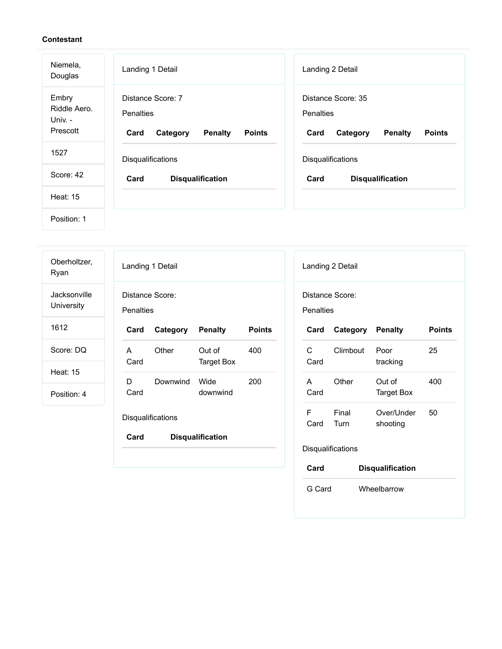| Niemela,<br>Douglas                          | Landing 1 Detail                                                                      | Landing 2 Detail                                                                              |
|----------------------------------------------|---------------------------------------------------------------------------------------|-----------------------------------------------------------------------------------------------|
| Embry<br>Riddle Aero.<br>Univ. -<br>Prescott | Distance Score: 7<br>Penalties<br>Card<br><b>Penalty</b><br><b>Points</b><br>Category | Distance Score: 35<br><b>Penalties</b><br>Card<br><b>Penalty</b><br><b>Points</b><br>Category |
| 1527                                         | Disqualifications                                                                     | Disqualifications                                                                             |
| Score: 42                                    | Card<br><b>Disqualification</b>                                                       | Card<br><b>Disqualification</b>                                                               |
| <b>Heat: 15</b>                              |                                                                                       |                                                                                               |
| Position: 1                                  |                                                                                       |                                                                                               |

| Oberholtzer,<br>Ryan       | Landing 1 Detail                                                         | Landing 2 Detail                                         |
|----------------------------|--------------------------------------------------------------------------|----------------------------------------------------------|
| Jacksonville<br>University | Distance Score:<br>Penalties                                             | Distance Score:<br>Penalties                             |
| 1612                       | <b>Points</b><br>Category<br><b>Penalty</b><br>Card                      | Category<br><b>Penalty</b><br><b>Points</b><br>Card      |
| Score: DQ                  | $\mathsf{C}$<br>Other<br>Out of<br>400<br>A<br><b>Target Box</b><br>Card | 25<br>Climbout<br>Poor<br>Card<br>tracking               |
| Heat: 15<br>Position: 4    | D<br>Downwind<br>Wide<br>200<br>downwind<br>Card                         | Other<br>Out of<br>400<br>A<br>Card<br><b>Target Box</b> |
|                            | F<br>Disqualifications                                                   | Final<br>Over/Under<br>50<br>Card<br>Turn<br>shooting    |
|                            | Card<br><b>Disqualification</b>                                          | Disqualifications                                        |
|                            |                                                                          | Card<br><b>Disqualification</b>                          |
|                            |                                                                          | G Card<br>Wheelbarrow                                    |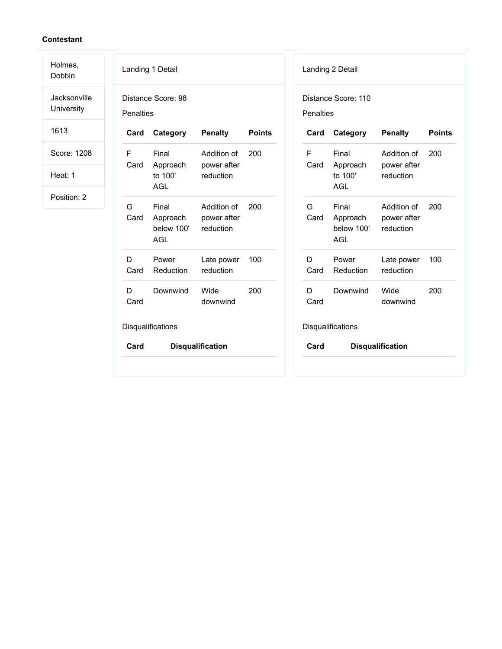Landing 1 Detail Distance Score: 98 **Penalties Card Category Penalty Points** F Card Final Approach to 100' AGL Addition of power after reduction 200 G Card Final Approach below 100' AGL Addition of power after reduction 200 D Card Power Reduction Late power reduction 100 D Card Downwind Wide downwind 200 **Disqualifications Card Disqualification** Landing 2 Detail Distance Score: 110 **Penalties Card Category Penalty Points** F Card Final Approach to 100' AGL Addition of power after reduction 200 G Card Final Approach below 100' AGL Addition of power after reduction 200 D Card Power Reduction Late power reduction 100 D Card Downwind Wide downwind 200 **Disqualifications Card Disqualification** Holmes, Dobbin Jacksonville **University** 1613 Score: 1208 Heat: 1 Position: 2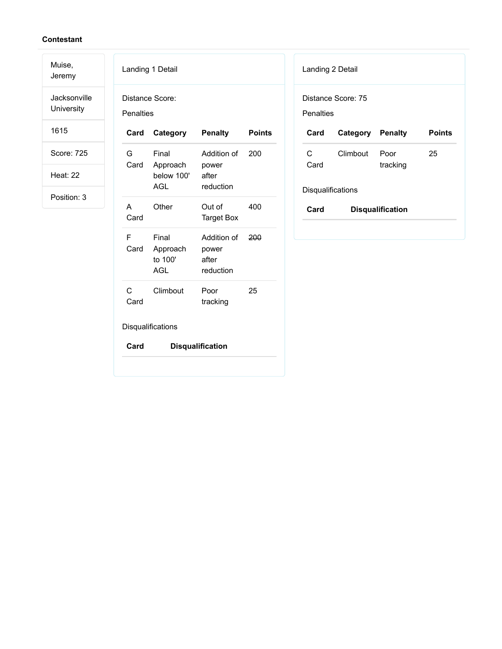Muise, Jeremy

Jacksonville University

1615

Score: 725

Heat: 22

|           | Landing 1 Detail                              |                                            |               |
|-----------|-----------------------------------------------|--------------------------------------------|---------------|
| Penalties | Distance Score:                               |                                            |               |
| Card      | Category                                      | <b>Penalty</b>                             | <b>Points</b> |
| G<br>Card | Final<br>Approach<br>below 100'<br><b>AGL</b> | Addition of<br>power<br>after<br>reduction | 200           |
| A<br>Card | Other                                         | Out of<br><b>Target Box</b>                | 400           |
| F<br>Card | Final<br>Approach<br>to 100'<br>AGL           | Addition of<br>power<br>after<br>reduction | 200           |
| C<br>Card | Climbout                                      | Poor<br>tracking                           | 25            |
|           | Disqualifications                             |                                            |               |
| Card      |                                               | <b>Disqualification</b>                    |               |

| Landing 2 Detail         |                    |                         |               |  |
|--------------------------|--------------------|-------------------------|---------------|--|
| Penalties                | Distance Score: 75 |                         |               |  |
| Card                     | Category Penalty   |                         | <b>Points</b> |  |
| C<br>Card                | Climbout           | Poor<br>tracking        | 25            |  |
| <b>Disqualifications</b> |                    |                         |               |  |
| Card                     |                    | <b>Disqualification</b> |               |  |
|                          |                    |                         |               |  |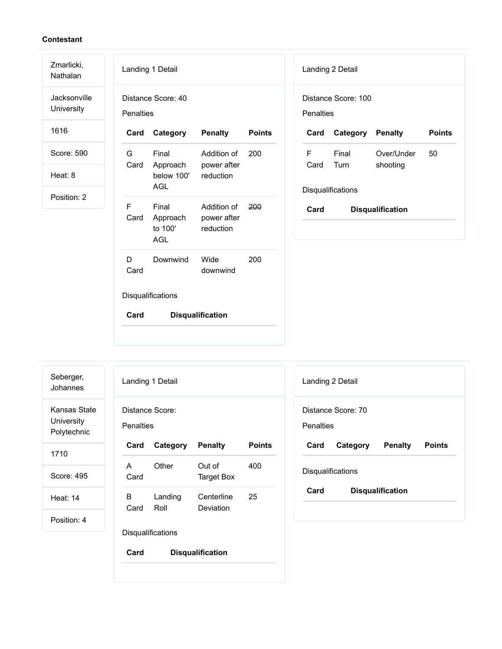Nathalan Jacksonville University

Zmarlicki,

1616

Score: 590

Heat: 8

Position: 2

|            | Landing 1 Detail                       |                                             |               |  |  |
|------------|----------------------------------------|---------------------------------------------|---------------|--|--|
| Penalties  | Distance Score: 40                     |                                             |               |  |  |
| Card       | Category                               | <b>Penalty</b>                              | <b>Points</b> |  |  |
| G.<br>Card | Final<br>Approach<br>below 100'<br>AGL | Addition of 200<br>power after<br>reduction |               |  |  |
| F<br>Card  | Final<br>Approach<br>to 100'<br>AGL    | Addition of<br>power after<br>reduction     | 200           |  |  |
| D<br>Card  | Downwind                               | Wide<br>downwind                            | 200           |  |  |
|            | Disqualifications                      |                                             |               |  |  |
| Card       |                                        | <b>Disqualification</b>                     |               |  |  |

|                                  | Landing 2 Detail |                         |               |  |
|----------------------------------|------------------|-------------------------|---------------|--|
| Distance Score: 100<br>Penalties |                  |                         |               |  |
| Card                             | Category Penalty |                         | <b>Points</b> |  |
| F<br>Card                        | Final<br>Turn    | Over/Under<br>shooting  | 50            |  |
| <b>Disqualifications</b>         |                  |                         |               |  |
| Card                             |                  | <b>Disqualification</b> |               |  |

Seberger, Johannes Kansas State University Polytechnic 1710

Score: 495

Heat: 14

Position: 4

| Landing 1 Detail             |                          |                         |               |  |
|------------------------------|--------------------------|-------------------------|---------------|--|
| Distance Score:<br>Penalties |                          |                         |               |  |
| Card                         | Category                 | <b>Penalty</b>          | <b>Points</b> |  |
| A<br>Card                    | Other                    | Out of<br>Target Box    | 400           |  |
| в<br>Card                    | Landing<br>Roll          | Centerline<br>Deviation | 25            |  |
|                              | <b>Disqualifications</b> |                         |               |  |

| Landing 2 Detail                       |          |                         |               |  |
|----------------------------------------|----------|-------------------------|---------------|--|
| Distance Score: 70<br><b>Penalties</b> |          |                         |               |  |
| Card                                   | Category | Penalty                 | <b>Points</b> |  |
| Disqualifications                      |          |                         |               |  |
| Card                                   |          | <b>Disqualification</b> |               |  |
|                                        |          |                         |               |  |

**Card Disqualification**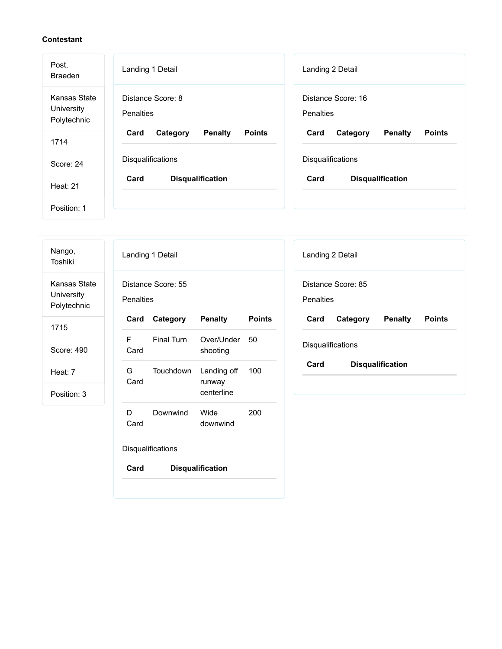| Post,<br><b>Braeden</b>                   | Landing 1 Detail                                    | Landing 2 Detail                                    |
|-------------------------------------------|-----------------------------------------------------|-----------------------------------------------------|
| Kansas State<br>University<br>Polytechnic | Distance Score: 8<br><b>Penalties</b>               | Distance Score: 16<br>Penalties                     |
| 1714                                      | <b>Penalty</b><br><b>Points</b><br>Card<br>Category | <b>Penalty</b><br>Card<br>Category<br><b>Points</b> |
| Score: 24                                 | <b>Disqualifications</b>                            | Disqualifications                                   |
| Heat: 21                                  | <b>Disqualification</b><br>Card                     | Card<br><b>Disqualification</b>                     |
| Position: 1                               |                                                     |                                                     |

| Nango,<br>Toshiki                         | Landing 1 Detail                                        | Landing 2 Detail                                    |
|-------------------------------------------|---------------------------------------------------------|-----------------------------------------------------|
| Kansas State<br>University<br>Polytechnic | Distance Score: 55<br><b>Penalties</b>                  | Distance Score: 85<br>Penalties                     |
| 1715                                      | <b>Penalty</b><br>Category<br><b>Points</b><br>Card     | Category<br><b>Penalty</b><br><b>Points</b><br>Card |
| Score: 490                                | F<br>Final Turn<br>Over/Under<br>50<br>Card<br>shooting | Disqualifications                                   |
| Heat: 7                                   | G<br>Touchdown<br>Landing off<br>100<br>Card<br>runway  | Card<br><b>Disqualification</b>                     |
| Position: 3                               | centerline                                              |                                                     |
|                                           | 200<br>D<br>Downwind<br>Wide<br>Card<br>downwind        |                                                     |
|                                           | Disqualifications                                       |                                                     |
|                                           | Card<br><b>Disqualification</b>                         |                                                     |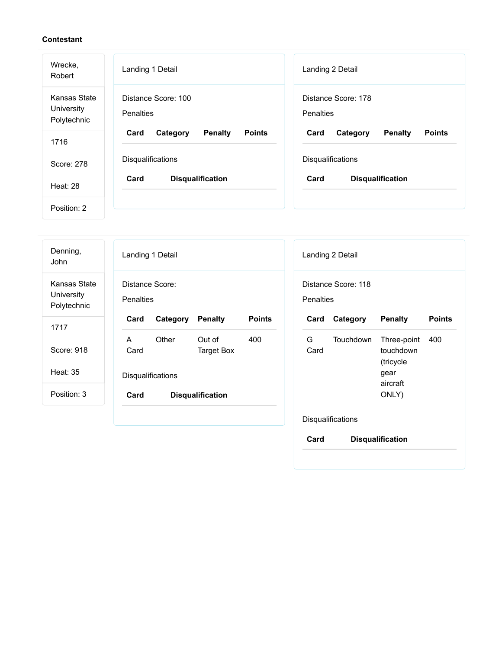| Wrecke,<br>Robert                         | Landing 1 Detail                                    | Landing 2 Detail                                    |
|-------------------------------------------|-----------------------------------------------------|-----------------------------------------------------|
| Kansas State<br>University<br>Polytechnic | Distance Score: 100<br>Penalties                    | Distance Score: 178<br><b>Penalties</b>             |
| 1716                                      | <b>Points</b><br>Card<br><b>Penalty</b><br>Category | <b>Points</b><br>Card<br><b>Penalty</b><br>Category |
| Score: 278                                | Disqualifications                                   | Disqualifications                                   |
| Heat: 28                                  | Card<br><b>Disqualification</b>                     | Card<br><b>Disqualification</b>                     |
| Position: 2                               |                                                     |                                                     |

| Denning,<br>John                          | Landing 1 Detail<br>Landing 2 Detail                                                                       |
|-------------------------------------------|------------------------------------------------------------------------------------------------------------|
| Kansas State<br>University<br>Polytechnic | Distance Score:<br>Distance Score: 118<br><b>Penalties</b><br>Penalties                                    |
| 1717                                      | <b>Points</b><br>Card<br>Card<br>Category<br><b>Penalty</b><br><b>Points</b><br>Category<br><b>Penalty</b> |
|                                           | G<br>Other<br>Out of<br>400<br>Touchdown<br>A<br>Three-point<br>400                                        |
| Score: 918                                | touchdown<br>Card<br>Target Box<br>Card                                                                    |
| Heat: 35                                  | (tricycle<br>gear<br>Disqualifications<br>aircraft                                                         |
| Position: 3                               | ONLY)<br>Card<br><b>Disqualification</b>                                                                   |
|                                           | Disqualifications<br>Card<br><b>Disqualification</b>                                                       |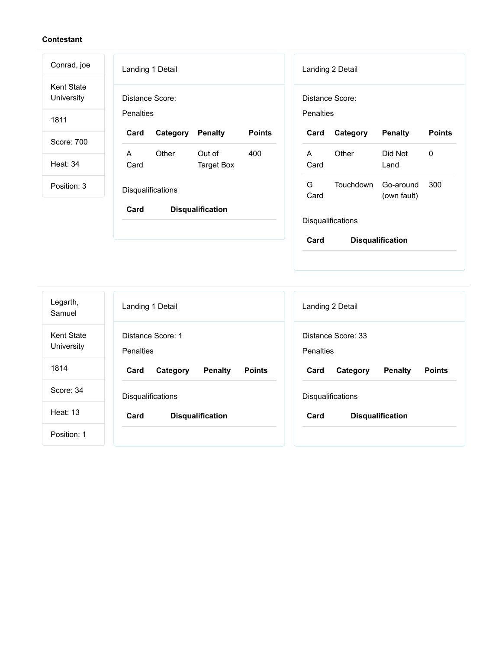| Conrad, joe                     | Landing 1 Detail                                    | Landing 2 Detail                                                 |
|---------------------------------|-----------------------------------------------------|------------------------------------------------------------------|
| <b>Kent State</b><br>University | Distance Score:                                     | Distance Score:                                                  |
| 1811                            | <b>Penalties</b>                                    | Penalties                                                        |
| Score: 700                      | <b>Points</b><br>Card<br>Category<br><b>Penalty</b> | <b>Points</b><br>Card<br><b>Penalty</b><br>Category              |
| <b>Heat: 34</b>                 | Other<br>A<br>Out of<br>400<br>Card<br>Target Box   | Other<br>Did Not<br>0<br>$\mathsf{A}$<br>Card<br>Land            |
| Position: 3                     | Disqualifications                                   | G<br><b>Touchdown</b><br>300<br>Go-around<br>Card<br>(own fault) |
|                                 | Card<br><b>Disqualification</b>                     | <b>Disqualifications</b>                                         |
|                                 |                                                     | Card<br><b>Disqualification</b>                                  |

| Legarth,<br>Samuel              | Landing 1 Detail                                    | Landing 2 Detail                                    |
|---------------------------------|-----------------------------------------------------|-----------------------------------------------------|
| <b>Kent State</b><br>University | Distance Score: 1<br><b>Penalties</b>               | Distance Score: 33<br>Penalties                     |
| 1814                            | Card<br>Category<br><b>Penalty</b><br><b>Points</b> | <b>Points</b><br><b>Penalty</b><br>Card<br>Category |
| Score: 34                       | <b>Disqualifications</b>                            | <b>Disqualifications</b>                            |
| <b>Heat: 13</b>                 | Card<br><b>Disqualification</b>                     | Card<br><b>Disqualification</b>                     |
| Position: 1                     |                                                     |                                                     |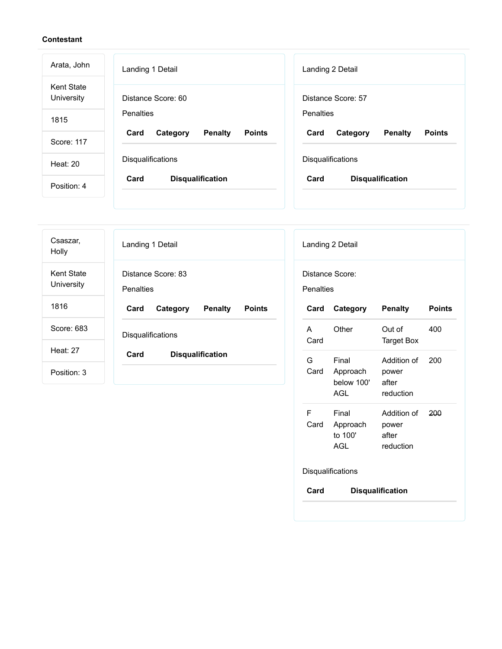| Arata, John              | Landing 1 Detail                                    | Landing 2 Detail                                    |
|--------------------------|-----------------------------------------------------|-----------------------------------------------------|
| Kent State<br>University | Distance Score: 60                                  | Distance Score: 57                                  |
| 1815                     | <b>Penalties</b>                                    | Penalties                                           |
| Score: 117               | <b>Penalty</b><br><b>Points</b><br>Card<br>Category | <b>Penalty</b><br><b>Points</b><br>Card<br>Category |
| Heat: 20                 | <b>Disqualifications</b>                            | <b>Disqualifications</b>                            |
| Position: 4              | Card<br><b>Disqualification</b>                     | Card<br><b>Disqualification</b>                     |

| Csaszar,<br>Holly               | Landing 1 Detail                                    | Landing 2 Detail                                                     |
|---------------------------------|-----------------------------------------------------|----------------------------------------------------------------------|
| <b>Kent State</b><br>University | Distance Score: 83<br><b>Penalties</b>              | Distance Score:<br><b>Penalties</b>                                  |
| 1816                            | Card<br><b>Penalty</b><br><b>Points</b><br>Category | <b>Points</b><br>Category<br>Penalty<br>Card                         |
| Score: 683                      | Disqualifications                                   | Other<br>400<br>Out of<br>A<br>Card<br><b>Target Box</b>             |
| <b>Heat: 27</b>                 | Card<br><b>Disqualification</b>                     | G<br>Final<br>200<br>Addition of                                     |
| Position: 3                     |                                                     | Card<br>Approach<br>power<br>below 100'<br>after<br>AGL<br>reduction |

F Card

Final Approach to 100' AGL

**Card Disqualification**

Disqualifications

Addition of power after reduction

200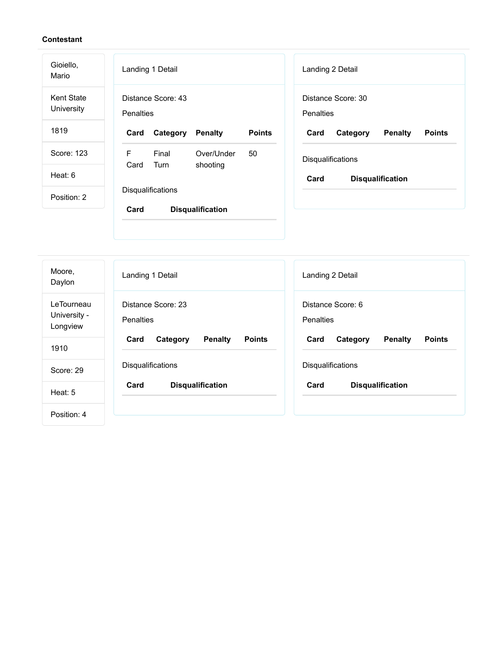| Gioiello,<br>Mario              | Landing 1 Detail                                    | Landing 2 Detail                                    |
|---------------------------------|-----------------------------------------------------|-----------------------------------------------------|
| <b>Kent State</b><br>University | Distance Score: 43<br>Penalties                     | Distance Score: 30<br>Penalties                     |
| 1819                            | Category<br><b>Points</b><br>Card<br><b>Penalty</b> | <b>Points</b><br>Card<br>Category<br><b>Penalty</b> |
| Score: 123                      | F<br>Final<br>Over/Under<br>50                      | Disqualifications                                   |
| Heat: 6                         | Card<br>Turn<br>shooting                            | Card<br><b>Disqualification</b>                     |
| Position: 2                     | Disqualifications                                   |                                                     |
|                                 | Card<br><b>Disqualification</b>                     |                                                     |
| Moore,<br>Daylon                | Landing 1 Detail                                    | Landing 2 Detail                                    |

Distance Score: 6

Disqualifications

**Card Category Penalty Points**

**Card Disqualification**

Penalties

Position: 4

Score: 29

Heat: 5

LeTourneau University - Longview

1910

Distance Score: 23

Disqualifications

**Card Category Penalty Points**

**Card Disqualification**

**Penalties**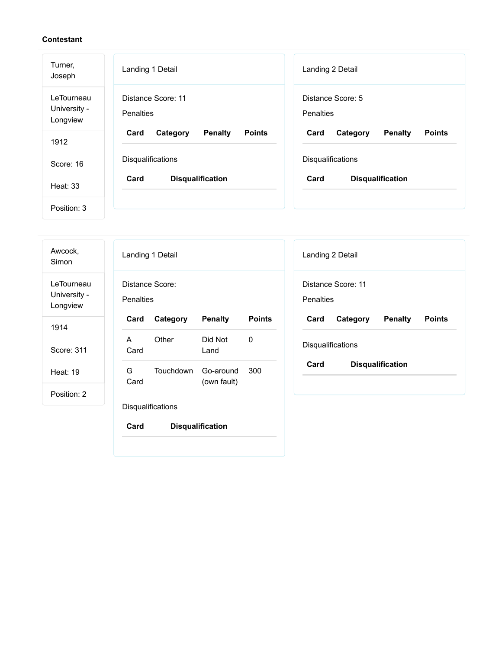| Turner,<br>Joseph                      | Landing 1 Detail                                    | Landing 2 Detail                                    |
|----------------------------------------|-----------------------------------------------------|-----------------------------------------------------|
| LeTourneau<br>University -<br>Longview | Distance Score: 11<br>Penalties                     | Distance Score: 5<br><b>Penalties</b>               |
| 1912                                   | Card<br>Category<br><b>Penalty</b><br><b>Points</b> | <b>Penalty</b><br><b>Points</b><br>Card<br>Category |
| Score: 16                              | Disqualifications                                   | Disqualifications                                   |
| Heat: 33                               | Card<br><b>Disqualification</b>                     | Card<br><b>Disqualification</b>                     |
| Position: 3                            |                                                     |                                                     |

| Awcock,<br>Simon                       | Landing 1 Detail<br>Landing 2 Detail                                                                       |
|----------------------------------------|------------------------------------------------------------------------------------------------------------|
| LeTourneau<br>University -<br>Longview | Distance Score:<br>Distance Score: 11<br><b>Penalties</b><br>Penalties                                     |
| 1914                                   | <b>Points</b><br>Category<br><b>Penalty</b><br>Category<br><b>Penalty</b><br><b>Points</b><br>Card<br>Card |
|                                        | Other<br>Did Not<br>$\mathbf 0$<br>$\mathsf{A}$                                                            |
| Score: 311                             | Disqualifications<br>Card<br>Land                                                                          |
| <b>Heat: 19</b>                        | Card<br><b>Disqualification</b><br>G<br>Touchdown<br>300<br>Go-around<br>Card<br>(own fault)               |
| Position: 2                            |                                                                                                            |
|                                        | Disqualifications                                                                                          |
|                                        | Card<br><b>Disqualification</b>                                                                            |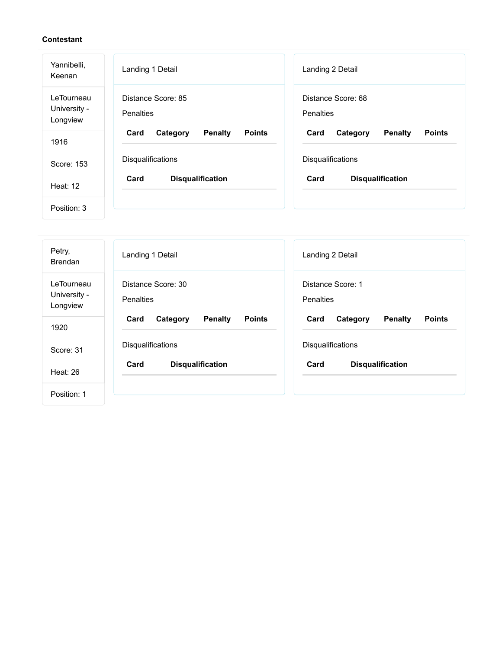| Yannibelli,<br>Keenan                  | Landing 1 Detail                                    | Landing 2 Detail                                    |
|----------------------------------------|-----------------------------------------------------|-----------------------------------------------------|
| LeTourneau<br>University -<br>Longview | Distance Score: 85<br><b>Penalties</b>              | Distance Score: 68<br>Penalties                     |
| 1916                                   | <b>Penalty</b><br>Card<br>Category<br><b>Points</b> | <b>Penalty</b><br>Card<br>Category<br><b>Points</b> |
| Score: 153                             | Disqualifications                                   | Disqualifications                                   |
| Heat: $12$                             | Card<br><b>Disqualification</b>                     | Card<br><b>Disqualification</b>                     |
| Position: 3                            |                                                     |                                                     |

| Petry,<br><b>Brendan</b>               | Landing 1 Detail                                    | Landing 2 Detail                                    |
|----------------------------------------|-----------------------------------------------------|-----------------------------------------------------|
| LeTourneau<br>University -<br>Longview | Distance Score: 30<br>Penalties                     | Distance Score: 1<br><b>Penalties</b>               |
| 1920                                   | <b>Penalty</b><br><b>Points</b><br>Card<br>Category | <b>Penalty</b><br><b>Points</b><br>Card<br>Category |
| Score: 31                              | <b>Disqualifications</b>                            | <b>Disqualifications</b>                            |
| Heat: 26                               | Card<br><b>Disqualification</b>                     | Card<br><b>Disqualification</b>                     |
| Position: 1                            |                                                     |                                                     |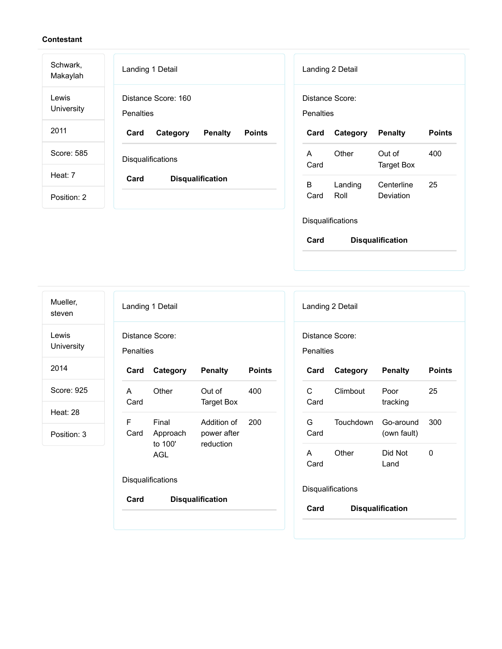| Schwark,<br>Makaylah       | Landing 1 Detail                                    | Landing 2 Detail                                         |
|----------------------------|-----------------------------------------------------|----------------------------------------------------------|
| Lewis<br><b>University</b> | Distance Score: 160<br><b>Penalties</b>             | Distance Score:<br><b>Penalties</b>                      |
| 2011                       | Card<br>Category<br><b>Penalty</b><br><b>Points</b> | <b>Points</b><br>Card<br>Category<br><b>Penalty</b>      |
| Score: 585                 | <b>Disqualifications</b>                            | Other<br>Out of<br>400<br>A<br>Card<br><b>Target Box</b> |
| Heat: 7                    | Card<br><b>Disqualification</b>                     | B<br>25<br>Landing<br>Centerline                         |
| Position: 2                |                                                     | Roll<br><b>Deviation</b><br>Card                         |
|                            |                                                     | Disqualifications                                        |
|                            |                                                     | Card<br><b>Disqualification</b>                          |

| Mueller,<br>steven             | Landing 1 Detail<br>Landing 2 Detail                                             |                                              |
|--------------------------------|----------------------------------------------------------------------------------|----------------------------------------------|
| Lewis<br>University            | Distance Score:<br>Distance Score:<br><b>Penalties</b><br><b>Penalties</b>       |                                              |
| 2014                           | Category<br><b>Penalty</b><br><b>Points</b><br>Card<br>Card                      | Category<br><b>Penalty</b><br><b>Points</b>  |
| Score: 925                     | Other<br>Out of<br>400<br>C<br>A<br>Card<br><b>Target Box</b><br>Card            | 25<br>Climbout<br>Poor<br>tracking           |
| <b>Heat: 28</b><br>Position: 3 | F<br>G<br>Final<br>Addition of<br>200<br>Card<br>Card<br>Approach<br>power after | Touchdown<br>300<br>Go-around<br>(own fault) |
|                                | to 100'<br>reduction<br>Other<br>A<br>AGL<br>Card                                | Did Not<br>0<br>Land                         |
|                                | Disqualifications<br>Disqualifications                                           |                                              |
|                                | <b>Disqualification</b><br>Card<br>Card                                          | <b>Disqualification</b>                      |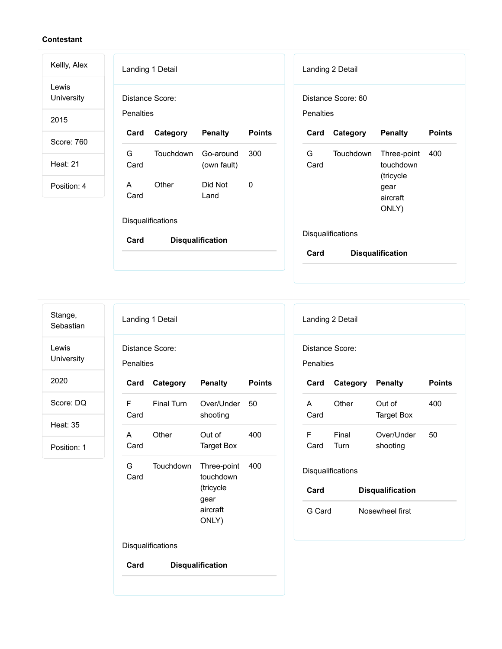| Kellly, Alex        | Landing 1 Detail                |                                 | Landing 2 Detail  |                    |                                        |               |
|---------------------|---------------------------------|---------------------------------|-------------------|--------------------|----------------------------------------|---------------|
| Lewis<br>University | Distance Score:                 |                                 |                   | Distance Score: 60 |                                        |               |
| 2015                | Penalties                       |                                 | Penalties         |                    |                                        |               |
| Score: 760          | Category<br>Card                | <b>Penalty</b><br><b>Points</b> | Card              | Category           | <b>Penalty</b>                         | <b>Points</b> |
|                     | G<br>Touchdown                  | Go-around<br>300                | G                 | Touchdown          | Three-point                            | 400           |
| <b>Heat: 21</b>     | Card                            | (own fault)                     | Card              |                    | touchdown                              |               |
| Position: 4         | Other<br>A<br>Card              | $\mathbf{0}$<br>Did Not<br>Land |                   |                    | (tricycle<br>gear<br>aircraft<br>ONLY) |               |
|                     | Disqualifications               |                                 |                   |                    |                                        |               |
|                     | <b>Disqualification</b><br>Card |                                 | Disqualifications |                    |                                        |               |
|                     |                                 |                                 | Card              |                    | <b>Disqualification</b>                |               |
|                     |                                 |                                 |                   |                    |                                        |               |

| Stange,   |
|-----------|
| Sebastian |

Lewis University

2020

Score: DQ

Heat: 35

|             | Landing 1 Detail  |                                                                    |               |
|-------------|-------------------|--------------------------------------------------------------------|---------------|
|             | Distance Score:   |                                                                    |               |
| Penalties   |                   |                                                                    |               |
| Card        | Category          | <b>Penalty</b>                                                     | <b>Points</b> |
| F<br>Card   | <b>Final Turn</b> | Over/Under<br>shooting                                             | 50            |
| A<br>Card   | Other             | Out of<br>Target Box                                               | 400           |
| G i<br>Card | Touchdown         | Three-point<br>touchdown<br>(tricycle<br>gear<br>aircraft<br>ONLY) | 400           |
|             | Disqualifications |                                                                    |               |
| Card        |                   | <b>Disqualification</b>                                            |               |

|                              | Landing 2 Detail             |                         |               |
|------------------------------|------------------------------|-------------------------|---------------|
| Distance Score:<br>Penalties |                              |                         |               |
|                              | <b>Card Category Penalty</b> |                         | <b>Points</b> |
| A<br>Card                    | Other                        | Out of<br>Target Box    | 400           |
| F<br>Card                    | Final<br>Turn                | Over/Under<br>shooting  | 50            |
|                              | Disqualifications            |                         |               |
| Card                         |                              | <b>Disqualification</b> |               |
| G Card                       |                              | Nosewheel first         |               |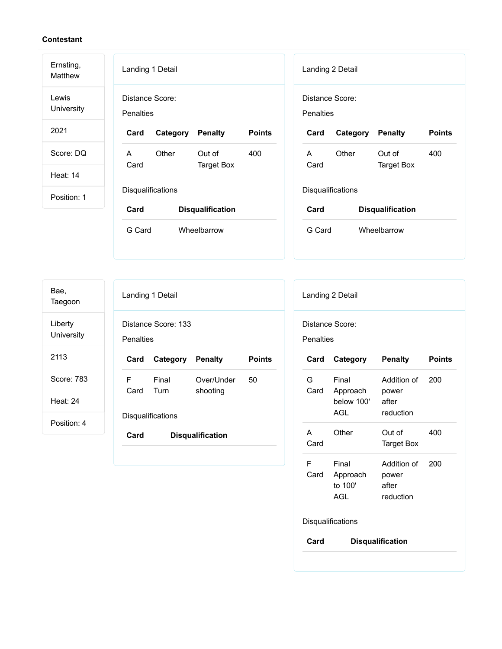| Ernsting,<br>Matthew | Landing 1 Detail                    |                                 |           | Landing 2 Detail  |                         |               |
|----------------------|-------------------------------------|---------------------------------|-----------|-------------------|-------------------------|---------------|
| Lewis<br>University  | Distance Score:<br><b>Penalties</b> |                                 | Penalties | Distance Score:   |                         |               |
| 2021                 | Category<br>Card                    | <b>Points</b><br><b>Penalty</b> | Card      | Category          | <b>Penalty</b>          | <b>Points</b> |
| Score: DQ            | Other<br>A                          | Out of<br>400                   | A         | Other             | Out of                  | 400           |
| <b>Heat: 14</b>      | Card                                | <b>Target Box</b>               | Card      |                   | <b>Target Box</b>       |               |
| Position: 1          | Disqualifications                   |                                 |           | Disqualifications |                         |               |
|                      | Card                                | <b>Disqualification</b>         | Card      |                   | <b>Disqualification</b> |               |
|                      | G Card<br>Wheelbarrow               |                                 | G Card    |                   | Wheelbarrow             |               |

Bae, Taegoon

Liberty **University** 

2113

Score: 783

Heat: 24

|                  | Landing 1 Detail         |                        |               |
|------------------|--------------------------|------------------------|---------------|
| <b>Penalties</b> | Distance Score: 133      |                        |               |
| Card             | <b>Category Penalty</b>  |                        | <b>Points</b> |
| F.<br>Card       | Final<br>Turn            | Over/Under<br>shooting | 50            |
|                  |                          |                        |               |
|                  | <b>Disqualifications</b> |                        |               |

|                  | Distance Score:                                |                                                |               |
|------------------|------------------------------------------------|------------------------------------------------|---------------|
| <b>Penalties</b> |                                                |                                                |               |
| Card             | Category                                       | <b>Penalty</b>                                 | <b>Points</b> |
| G                | Final<br>Card Approach<br>below 100'<br>AGL    | Addition of 200<br>power<br>after<br>reduction |               |
| A<br>Card        | Other                                          | Out of<br><b>Target Box</b>                    | 400           |
| F                | Final<br>Card Approach power<br>to 100'<br>AGL | Addition of<br>after<br>reduction              | 200           |
|                  | Disqualifications                              |                                                |               |
| Card             |                                                | <b>Disqualification</b>                        |               |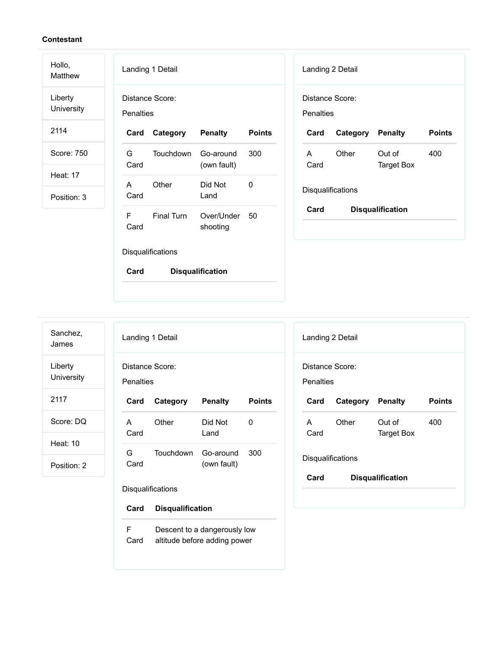Hollo,

Matthew Liberty University

2114

Score: 750

Heat: 17

Position: 3

|                  | Landing 1 Detail  |                          |               |
|------------------|-------------------|--------------------------|---------------|
| <b>Penalties</b> | Distance Score:   |                          |               |
| Card             | Category          | <b>Penalty</b>           | <b>Points</b> |
| G<br>Card        | Touchdown         | Go-around<br>(own fault) | 300           |
| A<br>Card        | Other             | Did Not<br>Land          | 0             |
| F<br>Card        | <b>Final Turn</b> | Over/Under<br>shooting   | 50            |
|                  | Disqualifications |                          |               |
| Card             |                   | <b>Disqualification</b>  |               |

|                                     | Landing 2 Detail  |                         |               |
|-------------------------------------|-------------------|-------------------------|---------------|
| Distance Score:<br><b>Penalties</b> |                   |                         |               |
| Card                                | Category Penalty  |                         | <b>Points</b> |
| A<br>Card                           | Other             | Out of<br>Target Box    | 400           |
|                                     | Disqualifications |                         |               |
| Card                                |                   | <b>Disqualification</b> |               |

Sanchez, James

Liberty

University

2117

Score: DQ

Heat: 10

Position: 2

| Landing 1 Detail             |          |                 |        |  |  |  |
|------------------------------|----------|-----------------|--------|--|--|--|
| Distance Score:<br>Penalties |          |                 |        |  |  |  |
| Card                         | Category | <b>Penalty</b>  | Points |  |  |  |
|                              |          |                 |        |  |  |  |
| A<br>Card                    | Other    | Did Not<br>Land | 0      |  |  |  |

Disqualifications

**Card Disqualification**

F Card Descent to a dangerously low altitude before adding power

|                                 | Landing 2 Detail |                      |               |  |  |  |  |  |
|---------------------------------|------------------|----------------------|---------------|--|--|--|--|--|
| Distance Score:<br>Penalties    |                  |                      |               |  |  |  |  |  |
| Card                            | Category Penalty |                      | <b>Points</b> |  |  |  |  |  |
| A<br>Card                       | Other            | Out of<br>Target Box | 400           |  |  |  |  |  |
| Disqualifications               |                  |                      |               |  |  |  |  |  |
| Card<br><b>Disqualification</b> |                  |                      |               |  |  |  |  |  |
|                                 |                  |                      |               |  |  |  |  |  |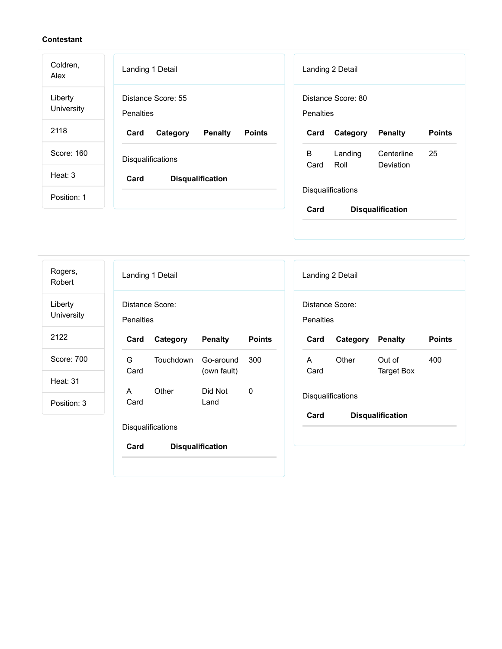| Coldren,<br>Alex      | Landing 1 Detail                                    | Landing 2 Detail                                      |
|-----------------------|-----------------------------------------------------|-------------------------------------------------------|
| Liberty<br>University | Distance Score: 55<br>Penalties                     | Distance Score: 80<br><b>Penalties</b>                |
| 2118                  | <b>Points</b><br>Card<br><b>Penalty</b><br>Category | <b>Points</b><br><b>Penalty</b><br>Card<br>Category   |
| Score: 160            | <b>Disqualifications</b>                            | В<br>25<br>Landing<br>Centerline<br>Roll<br>Deviation |
| Heat: $3$             | Card<br><b>Disqualification</b>                     | Card                                                  |
| Position: 1           |                                                     | Disqualifications                                     |
|                       |                                                     | Card<br><b>Disqualification</b>                       |

| Rogers,<br>Robert              |                  | Landing 1 Detail         |                          |               |   |                  | Landing 2 Detail                 |
|--------------------------------|------------------|--------------------------|--------------------------|---------------|---|------------------|----------------------------------|
| Liberty<br>University          | <b>Penalties</b> | Distance Score:          |                          |               |   | <b>Penalties</b> | Distance Score:                  |
| 2122                           | Card             | Category                 | <b>Penalty</b>           | <b>Points</b> |   | Card             | Category                         |
| Score: 700                     | G<br>Card        | <b>Touchdown</b>         | Go-around<br>(own fault) | 300           | A | Card             | Other                            |
| <b>Heat: 31</b><br>Position: 3 | A<br>Card        | Other                    | Did Not<br>Land          | 0             |   | Card             | <b>Disqualifications</b><br>Disg |
|                                |                  | <b>Disqualifications</b> |                          |               |   |                  |                                  |
|                                | Card             |                          | <b>Disqualification</b>  |               |   |                  |                                  |
|                                |                  |                          |                          |               |   |                  |                                  |

| Landing 2 Detail             |                         |                         |               |  |  |  |
|------------------------------|-------------------------|-------------------------|---------------|--|--|--|
| Distance Score:<br>Penalties |                         |                         |               |  |  |  |
| Card                         | <b>Category Penalty</b> |                         | <b>Points</b> |  |  |  |
| A<br>Card                    | Other                   | Out of<br>Target Box    | 400           |  |  |  |
| Disqualifications            |                         |                         |               |  |  |  |
| Card                         |                         | <b>Disqualification</b> |               |  |  |  |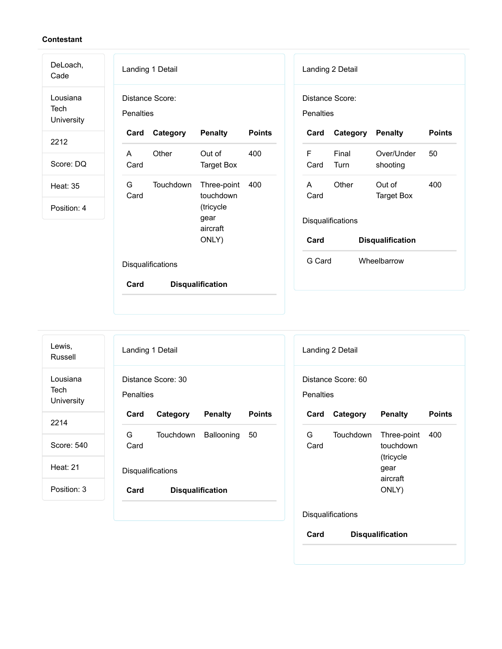| DeLoach,<br>Cade               | Landing 1 Detail                                          | Landing 2 Detail                                                     |
|--------------------------------|-----------------------------------------------------------|----------------------------------------------------------------------|
| Lousiana<br>Tech<br>University | Distance Score:<br>Penalties                              | Distance Score:<br><b>Penalties</b>                                  |
| 2212                           | <b>Points</b><br>Category<br><b>Penalty</b><br>Card       | <b>Points</b><br>Category<br><b>Penalty</b><br>Card                  |
| Score: DQ                      | Other<br>Out of<br>400<br>A<br>Card<br><b>Target Box</b>  | $\mathsf F$<br>Final<br>Over/Under<br>50<br>Card<br>Turn<br>shooting |
| <b>Heat: 35</b>                | G<br>Touchdown<br>Three-point<br>400<br>touchdown<br>Card | Other<br>Out of<br>400<br>A<br><b>Target Box</b><br>Card             |
| Position: 4                    | (tricycle<br>gear<br>aircraft                             | Disqualifications                                                    |
|                                | ONLY)                                                     | Card<br><b>Disqualification</b>                                      |
|                                | Disqualifications                                         | G Card<br>Wheelbarrow                                                |
|                                | <b>Disqualification</b><br>Card                           |                                                                      |
|                                |                                                           |                                                                      |

| Lewis,<br>Russell              | Landing 1 Detail<br>Landing 2 Detail                               |                                                     |
|--------------------------------|--------------------------------------------------------------------|-----------------------------------------------------|
| Lousiana<br>Tech<br>University | Distance Score: 30<br>Distance Score: 60<br>Penalties<br>Penalties |                                                     |
| 2214                           | Card<br>Category<br><b>Penalty</b><br><b>Points</b><br>Card        | <b>Points</b><br>Category<br><b>Penalty</b>         |
| Score: 540                     | G<br>G<br>Touchdown<br>Ballooning<br>50<br>Card<br>Card            | <b>Touchdown</b><br>400<br>Three-point<br>touchdown |
| <b>Heat: 21</b>                | Disqualifications                                                  | (tricycle<br>gear<br>aircraft                       |
| Position: 3                    | Card<br><b>Disqualification</b>                                    | ONLY)                                               |
|                                | Disqualifications                                                  |                                                     |
|                                | Card                                                               | <b>Disqualification</b>                             |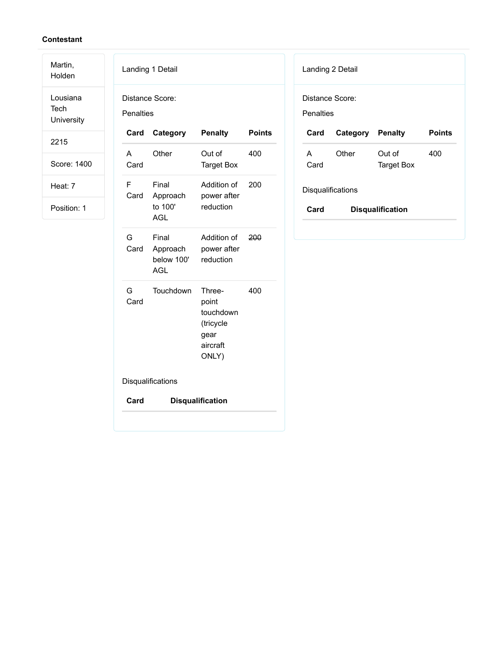Martin, Holden

Lousiana Tech **University** 

2215

Score: 1400

Heat: 7

| <b>Penalties</b> | Distance Score:                               |                                                                        |               |
|------------------|-----------------------------------------------|------------------------------------------------------------------------|---------------|
| Card             | Category                                      | <b>Penalty</b>                                                         | <b>Points</b> |
| A<br>Card        | Other                                         | Out of<br><b>Target Box</b>                                            | 400           |
| F<br>Card        | Final<br>Approach<br>to 100'<br><b>AGL</b>    | Addition of<br>power after<br>reduction                                | 200           |
| G<br>Card        | Final<br>Approach<br>below 100'<br><b>AGL</b> | Addition of<br>power after<br>reduction                                | 200           |
| G<br>Card        | Touchdown                                     | Three-<br>point<br>touchdown<br>(tricycle<br>gear<br>aircraft<br>ONLY) | 400           |
|                  | Disqualifications                             |                                                                        |               |
| Card             |                                               | <b>Disqualification</b>                                                |               |

|                                 | Landing 2 Detail |                      |        |  |  |  |  |
|---------------------------------|------------------|----------------------|--------|--|--|--|--|
| Distance Score:<br>Penalties    |                  |                      |        |  |  |  |  |
| Card                            | Category Penalty |                      | Points |  |  |  |  |
| A<br>Card                       | Other            | Out of<br>Target Box | 400    |  |  |  |  |
| <b>Disqualifications</b>        |                  |                      |        |  |  |  |  |
| Card<br><b>Disqualification</b> |                  |                      |        |  |  |  |  |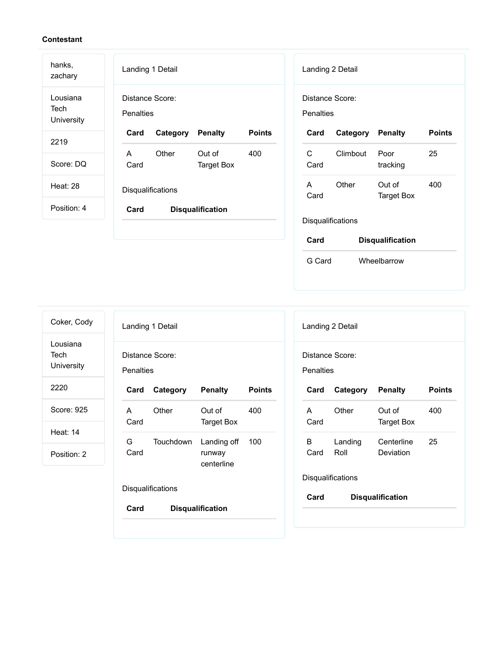| hanks,<br>zachary              | Landing 1 Detail<br>Landing 2 Detail                                                      |               |
|--------------------------------|-------------------------------------------------------------------------------------------|---------------|
| Lousiana<br>Tech<br>University | Distance Score:<br>Distance Score:<br><b>Penalties</b><br>Penalties                       |               |
| 2219                           | <b>Points</b><br>Card<br><b>Penalty</b><br>Card<br><b>Penalty</b><br>Category<br>Category | <b>Points</b> |
|                                | C<br>Other<br>Out of<br>400<br>Climbout<br>A<br>Poor                                      | 25            |
| Score: DQ                      | Card<br>Card<br><b>Target Box</b><br>tracking                                             |               |
| Heat: 28                       | Other<br>A<br>Out of                                                                      | 400           |
|                                | Disqualifications<br>Card<br><b>Target Box</b>                                            |               |
| Position: 4                    | Card<br><b>Disqualification</b>                                                           |               |
|                                | Disqualifications                                                                         |               |
|                                | Card<br><b>Disqualification</b>                                                           |               |

| Coker, Cody                    |                                     | Landing 1 Detail  |                                     |               |  |
|--------------------------------|-------------------------------------|-------------------|-------------------------------------|---------------|--|
| Lousiana<br>Tech<br>University | Distance Score:<br><b>Penalties</b> |                   |                                     |               |  |
| 2220                           | Card                                | Category          | <b>Penalty</b>                      | <b>Points</b> |  |
| Score: 925                     | A<br>Card                           | Other             | Out of<br>Target Box                | 400           |  |
| Heat: $14$                     | G                                   |                   |                                     |               |  |
| Position: 2                    | Card                                | Touchdown         | Landing off<br>runway<br>centerline | 100           |  |
|                                |                                     | Disqualifications |                                     |               |  |
|                                | Card                                |                   | <b>Disqualification</b>             |               |  |

|                                 | Landing 2 Detail |                         |               |  |  |  |
|---------------------------------|------------------|-------------------------|---------------|--|--|--|
| Distance Score:<br>Penalties    |                  |                         |               |  |  |  |
| Card                            | Category Penalty |                         | <b>Points</b> |  |  |  |
| A<br>Card                       | Other            | Out of<br>Target Box    | 400           |  |  |  |
| B.<br>Card                      | Landing<br>Roll  | Centerline<br>Deviation | 25            |  |  |  |
| Disqualifications               |                  |                         |               |  |  |  |
| Card<br><b>Disqualification</b> |                  |                         |               |  |  |  |

G Card Wheelbarrow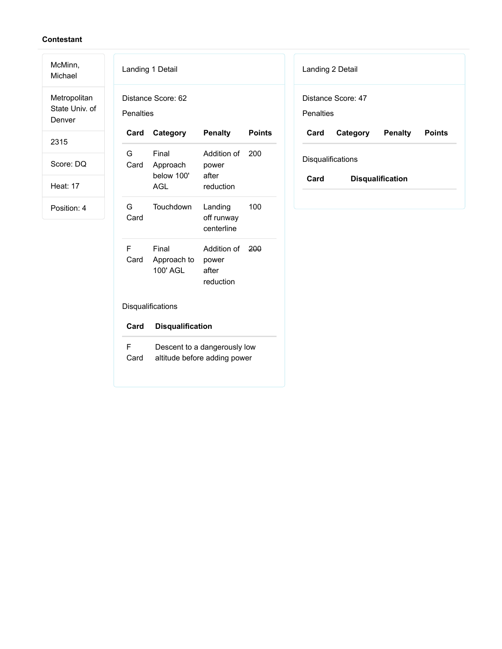McMinn, Michael Metropolitan

State Univ. of Denver

2315

Score: DQ

Heat: 17

| Landing 1 Detail                |                                               |                                                              |               |  |
|---------------------------------|-----------------------------------------------|--------------------------------------------------------------|---------------|--|
| Distance Score: 62<br>Penalties |                                               |                                                              |               |  |
| Card                            | Category                                      | <b>Penalty</b>                                               | <b>Points</b> |  |
| G<br>Card                       | Final<br>Approach<br>below 100'<br><b>AGL</b> | Addition of 200<br>power<br>after<br>reduction               |               |  |
| G<br>Card                       | Touchdown                                     | Landing<br>off runway<br>centerline                          | 100           |  |
| F<br>Card                       | Final<br>Approach to<br>100' AGL              | Addition of<br>power<br>after<br>reduction                   | 200           |  |
| Disqualifications               |                                               |                                                              |               |  |
| Card                            | <b>Disqualification</b>                       |                                                              |               |  |
| F<br>Card                       |                                               | Descent to a dangerously low<br>altitude before adding power |               |  |

| Landing 2 Detail                       |                          |  |  |  |
|----------------------------------------|--------------------------|--|--|--|
| Distance Score: 47<br><b>Penalties</b> |                          |  |  |  |
|                                        |                          |  |  |  |
| Card                                   | Category Penalty Points  |  |  |  |
|                                        | <b>Disqualifications</b> |  |  |  |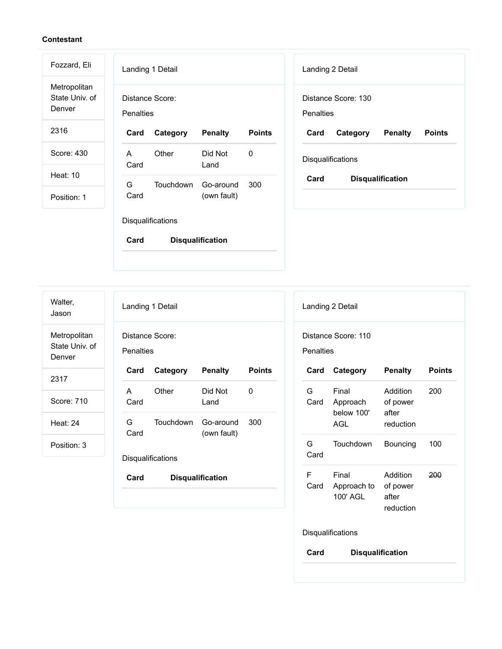Metropolitan State Univ. of Denver

Fozzard, Eli

2316

Score: 430

Heat: 10

Position: 1

| Landing 1 Detail |                              |           |                          |        |
|------------------|------------------------------|-----------|--------------------------|--------|
|                  | Distance Score:<br>Penalties |           |                          |        |
|                  | Card                         | Category  | <b>Penalty</b>           | Points |
|                  | A<br>Card                    | Other     | Did Not<br>Land          | n      |
|                  | G<br>Card                    | Touchdown | Go-around<br>(own fault) | 300    |
|                  | <b>Disqualifications</b>     |           |                          |        |

**Card Disqualification**

| Landing 2 Detail                |                     |         |               |
|---------------------------------|---------------------|---------|---------------|
|                                 | Distance Score: 130 |         |               |
| Penalties                       |                     |         |               |
| Card                            | Category            | Penalty | <b>Points</b> |
| Disqualifications               |                     |         |               |
| Card<br><b>Disqualification</b> |                     |         |               |

Walter, Jason

Metropolitan State Univ. of Denver

2317

Score: 710

Heat: 24

Position: 3

| Landing 1 Detail             |           |                          |        |  |
|------------------------------|-----------|--------------------------|--------|--|
| Distance Score:<br>Penalties |           |                          |        |  |
| Card                         | Category  | <b>Penalty</b>           | Points |  |
| A<br>Card                    | Other     | Did Not<br>Land          | 0      |  |
| G.<br>Card                   | Touchdown | Go-around<br>(own fault) | 300    |  |
| <b>Disqualifications</b>     |           |                          |        |  |

**Card Disqualification**

| Landing 2 Detail                        |                                               |                                            |               |  |
|-----------------------------------------|-----------------------------------------------|--------------------------------------------|---------------|--|
| Distance Score: 110<br><b>Penalties</b> |                                               |                                            |               |  |
| Card                                    | Category                                      | <b>Penalty</b>                             | <b>Points</b> |  |
| G<br>Card                               | Final<br>Approach<br>below 100'<br><b>AGL</b> | Addition<br>of power<br>after<br>reduction | 200           |  |
| G.<br>Card                              | Touchdown                                     | Bouncing                                   | 100           |  |
| F<br>Card                               | Final<br>Approach to of power<br>100' AGL     | Addition<br>after<br>reduction             | 200           |  |
| Disqualifications                       |                                               |                                            |               |  |
| Card                                    | <b>Disqualification</b>                       |                                            |               |  |
|                                         |                                               |                                            |               |  |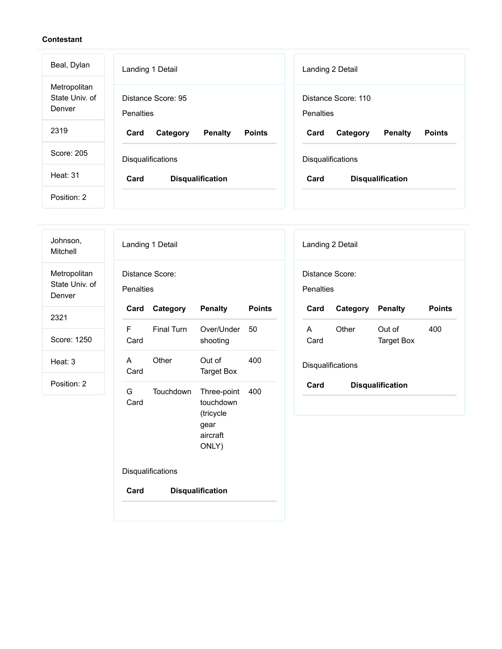| Beal, Dylan                              | Landing 1 Detail                                    | Landing 2 Detail                                    |  |
|------------------------------------------|-----------------------------------------------------|-----------------------------------------------------|--|
| Metropolitan<br>State Univ. of<br>Denver | Distance Score: 95<br>Penalties                     | Distance Score: 110<br>Penalties                    |  |
| 2319                                     | <b>Penalty</b><br><b>Points</b><br>Card<br>Category | <b>Points</b><br>Card<br><b>Penalty</b><br>Category |  |
| Score: 205                               | <b>Disqualifications</b>                            | <b>Disqualifications</b>                            |  |
| Heat: 31                                 | Card<br><b>Disqualification</b>                     | Card<br><b>Disqualification</b>                     |  |
| Position: 2                              |                                                     |                                                     |  |

| Johnson,<br>Mitchell                     | Landing 1 Detail<br>Landing 2 Detail                                                                        |                                    |
|------------------------------------------|-------------------------------------------------------------------------------------------------------------|------------------------------------|
| Metropolitan<br>State Univ. of<br>Denver | Distance Score:<br>Distance Score:<br><b>Penalties</b><br>Penalties                                         |                                    |
| 2321                                     | <b>Points</b><br>Category<br><b>Penalty</b><br>Category<br>Card<br>Card                                     | <b>Penalty</b><br><b>Points</b>    |
| Score: 1250                              | F<br><b>Final Turn</b><br>Other<br>Over/Under<br>50<br>A<br>Card<br>shooting<br>Card                        | Out of<br>400<br><b>Target Box</b> |
| Heat: 3                                  | 400<br>Other<br>Out of<br>A<br>Disqualifications<br>Card<br><b>Target Box</b>                               |                                    |
| Position: 2                              | Card<br>G<br>Touchdown<br>Three-point<br>400<br>Card<br>touchdown<br>(tricycle<br>gear<br>aircraft<br>ONLY) | <b>Disqualification</b>            |
|                                          | Disqualifications                                                                                           |                                    |
|                                          | Card<br><b>Disqualification</b>                                                                             |                                    |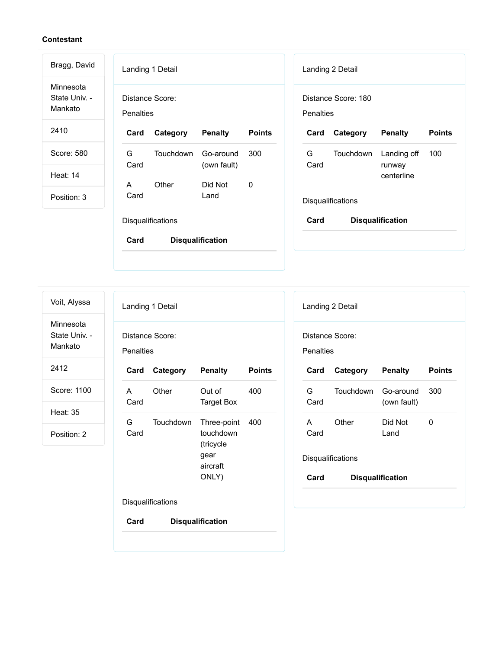| Bragg, David                          | Landing 1 Detail                                          | Landing 2 Detail                                              |
|---------------------------------------|-----------------------------------------------------------|---------------------------------------------------------------|
| Minnesota<br>State Univ. -<br>Mankato | Distance Score:<br><b>Penalties</b>                       | Distance Score: 180<br>Penalties                              |
| 2410                                  | Category<br><b>Penalty</b><br><b>Points</b><br>Card       | <b>Points</b><br>Category<br><b>Penalty</b><br>Card           |
| Score: 580                            | G<br>Touchdown<br>300<br>Go-around<br>Card<br>(own fault) | G<br><b>Touchdown</b><br>Landing off<br>100<br>Card<br>runway |
| <b>Heat: 14</b>                       | Other<br>Did Not<br>A<br>0                                | centerline                                                    |
| Position: 3                           | Card<br>Land                                              | Disqualifications                                             |
|                                       | Disqualifications                                         | Card<br><b>Disqualification</b>                               |
|                                       | Card<br><b>Disqualification</b>                           |                                                               |

Voit, Alyssa

Minnesota State Univ. - Mankato

2412

Score: 1100

Heat: 35

Position: 2

| Landing 1 Detail             |           |                                                                    |               |  |
|------------------------------|-----------|--------------------------------------------------------------------|---------------|--|
| Distance Score:<br>Penalties |           |                                                                    |               |  |
| Card                         | Category  | <b>Penalty</b>                                                     | <b>Points</b> |  |
| A<br>Card                    | Other     | Out of<br>Target Box                                               | 400           |  |
| G –<br>Card                  | Touchdown | Three-point<br>touchdown<br>(tricycle<br>gear<br>aircraft<br>ONLY) | 400           |  |
| Disqualifications            |           |                                                                    |               |  |
| Card                         |           | <b>Disqualification</b>                                            |               |  |

| Landing 2 Detail                                                 |           |                          |     |  |
|------------------------------------------------------------------|-----------|--------------------------|-----|--|
| Distance Score:                                                  |           |                          |     |  |
| Penalties<br><b>Points</b><br>Card<br>Category<br><b>Penalty</b> |           |                          |     |  |
| G.<br>Card                                                       | Touchdown | Go-around<br>(own fault) | 300 |  |
| A<br>Card                                                        | Other     | Did Not<br>Land          | O   |  |
| <b>Disqualifications</b>                                         |           |                          |     |  |
| Card                                                             |           | <b>Disqualification</b>  |     |  |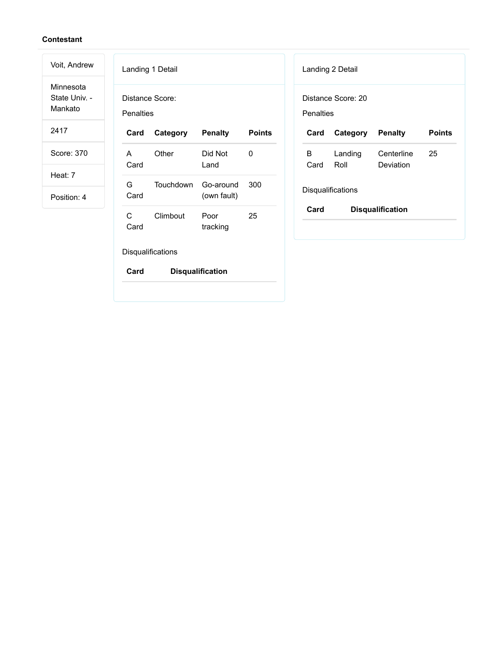Minnesota State Univ. - Mankato

Voit, Andrew

2417

Score: 370

Heat: 7

Position: 4

| Landing 1 Detail                |           |                          |               |  |
|---------------------------------|-----------|--------------------------|---------------|--|
| Distance Score:                 |           |                          |               |  |
| Penalties                       |           |                          |               |  |
| Card                            | Category  | <b>Penalty</b>           | <b>Points</b> |  |
| A<br>Card                       | Other     | Did Not<br>Land          | O             |  |
| G.<br>Card                      | Touchdown | Go-around<br>(own fault) | 300           |  |
| C<br>Card                       | Climbout  | Poor<br>tracking         | 25            |  |
| <b>Disqualifications</b>        |           |                          |               |  |
| <b>Disqualification</b><br>Card |           |                          |               |  |

| Landing 2 Detail                       |                 |                         |               |  |
|----------------------------------------|-----------------|-------------------------|---------------|--|
| Distance Score: 20<br><b>Penalties</b> |                 |                         |               |  |
| Card                                   | Category        | <b>Penalty</b>          | <b>Points</b> |  |
| в.<br>Card                             | Landing<br>Roll | Centerline<br>Deviation | 25            |  |
| Disqualifications                      |                 |                         |               |  |
| Card<br><b>Disqualification</b>        |                 |                         |               |  |
|                                        |                 |                         |               |  |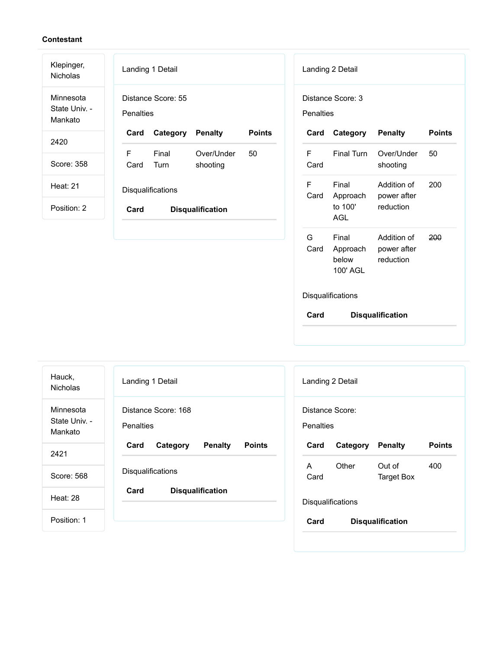| Klepinger,<br><b>Nicholas</b>         | Landing 1 Detail<br>Landing 2 Detail                                                      |               |
|---------------------------------------|-------------------------------------------------------------------------------------------|---------------|
| Minnesota<br>State Univ. -<br>Mankato | Distance Score: 55<br>Distance Score: 3<br>Penalties<br><b>Penalties</b>                  |               |
| 2420                                  | <b>Points</b><br>Card<br><b>Penalty</b><br><b>Penalty</b><br>Category<br>Card<br>Category | <b>Points</b> |
|                                       | F<br>F<br>Final<br>Final Turn<br>Over/Under<br>50<br>Over/Under                           | 50            |
| Score: 358                            | Turn<br>Card<br>Card<br>shooting<br>shooting                                              |               |
| <b>Heat: 21</b>                       | F<br>Final<br>Addition of<br>Disqualifications                                            | 200           |
|                                       | Card<br>power after<br>Approach                                                           |               |
| Position: 2                           | to 100'<br>reduction<br>Card<br><b>Disqualification</b><br>AGL                            |               |
|                                       |                                                                                           |               |
|                                       | G<br>Final<br>Addition of                                                                 | 200           |
|                                       | Card<br>Approach<br>power after<br>below<br>reduction                                     |               |

Disqualifications

**Card Disqualification**

100' AGL

| Hauck,<br><b>Nicholas</b>             | Landing 1 Detail<br>Landing 2 Detail                |                                                          |  |
|---------------------------------------|-----------------------------------------------------|----------------------------------------------------------|--|
| Minnesota<br>State Univ. -<br>Mankato | Distance Score: 168<br><b>Penalties</b>             | Distance Score:<br><b>Penalties</b>                      |  |
| 2421                                  | Card<br><b>Penalty</b><br><b>Points</b><br>Category | <b>Points</b><br>Card<br>Category<br><b>Penalty</b>      |  |
| Score: 568                            | Disqualifications                                   | Other<br>Out of<br>400<br>A<br>Card<br><b>Target Box</b> |  |
| Heat: 28                              | Card<br><b>Disqualification</b>                     | Disqualifications                                        |  |
| Position: 1                           |                                                     | Card<br><b>Disqualification</b>                          |  |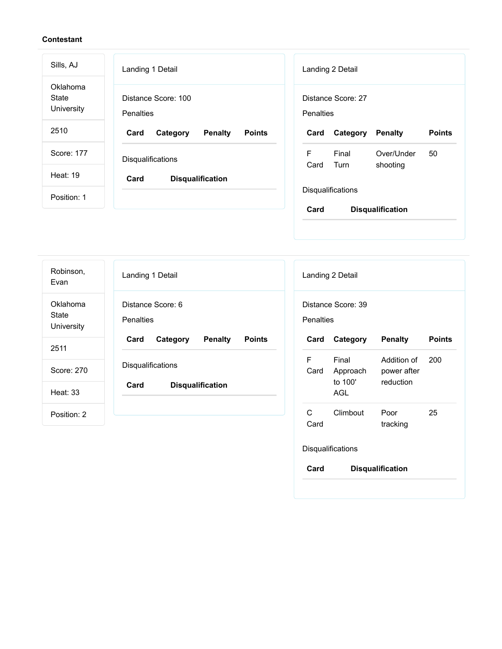| Sills, AJ                       | Landing 1 Detail                                    | Landing 2 Detail                                           |
|---------------------------------|-----------------------------------------------------|------------------------------------------------------------|
| Oklahoma<br>State<br>University | Distance Score: 100<br>Penalties                    | Distance Score: 27<br><b>Penalties</b>                     |
| 2510                            | Card<br><b>Points</b><br>Category<br><b>Penalty</b> | <b>Points</b><br>Card<br>Category<br><b>Penalty</b>        |
| Score: 177                      | Disqualifications                                   | F<br>Final<br>Over/Under<br>50<br>Card<br>Turn<br>shooting |
| <b>Heat: 19</b>                 | Card<br><b>Disqualification</b>                     |                                                            |
| Position: 1                     |                                                     | Disqualifications<br>Card                                  |
|                                 |                                                     | <b>Disqualification</b>                                    |

| Robinson,<br>Evan               | Landing 1 Detail                                    | Landing                      |
|---------------------------------|-----------------------------------------------------|------------------------------|
| Oklahoma<br>State<br>University | Distance Score: 6<br><b>Penalties</b>               | Distance<br><b>Penalties</b> |
| 2511                            | Card<br><b>Penalty</b><br>Category<br><b>Points</b> | Card                         |
| Score: 270                      | Disqualifications                                   | F<br>Card                    |
| <b>Heat: 33</b>                 | Card<br><b>Disqualification</b>                     |                              |
| Position: 2                     |                                                     | C.<br>Card                   |
|                                 |                                                     |                              |

| Landing 2 Detail                |                                                 |                                         |               |  |  |
|---------------------------------|-------------------------------------------------|-----------------------------------------|---------------|--|--|
|                                 | Distance Score: 39<br>Penalties                 |                                         |               |  |  |
| Card                            | Category                                        | <b>Penalty</b>                          | <b>Points</b> |  |  |
| F                               | Final<br>Card Approach<br>to 100'<br><b>AGL</b> | Addition of<br>power after<br>reduction | 200           |  |  |
| C<br>Card                       | Climbout                                        | Poor<br>tracking                        | 25            |  |  |
| <b>Disqualifications</b>        |                                                 |                                         |               |  |  |
| Card<br><b>Disqualification</b> |                                                 |                                         |               |  |  |
|                                 |                                                 |                                         |               |  |  |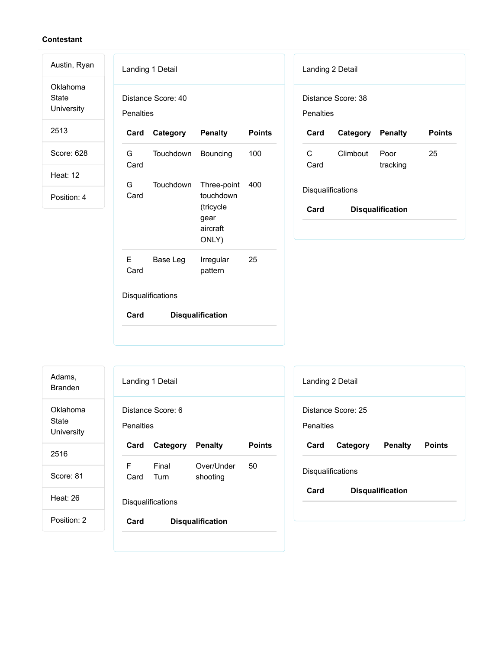Oklahoma State University

Austin, Ryan

2513

Score: 628

Heat: 12

Position: 4

|             | Landing 1 Detail        |                                                                    |               |
|-------------|-------------------------|--------------------------------------------------------------------|---------------|
| Penalties   | Distance Score: 40      |                                                                    |               |
| Card        | <b>Category Penalty</b> |                                                                    | <b>Points</b> |
| G i<br>Card | Touchdown               | Bouncing                                                           | 100           |
| G<br>Card   | Touchdown               | Three-point<br>touchdown<br>(tricycle<br>gear<br>aircraft<br>ONLY) | 400           |
| E.<br>Card  | Base Leg                | Irregular<br>pattern                                               | 25            |
|             | Disqualifications       |                                                                    |               |
| Card        |                         | <b>Disqualification</b>                                            |               |

| Landing 2 Detail         |                    |                         |               |
|--------------------------|--------------------|-------------------------|---------------|
| Penalties                | Distance Score: 38 |                         |               |
| Card                     | Category Penalty   |                         | <b>Points</b> |
| C<br>Card                | Climbout           | Poor<br>tracking        | 25            |
| <b>Disqualifications</b> |                    |                         |               |
| Card                     |                    | <b>Disqualification</b> |               |

Landing 1 Detail Distance Score: 6 **Penalties Card Category Penalty Points** F Card Turn Final Over/Under shooting 50 Disqualifications **Card Disqualification** Adams, Branden Oklahoma State University 2516 Score: 81 Heat: 26 Position: 2

| Landing 2 Detail  |                    |                         |               |
|-------------------|--------------------|-------------------------|---------------|
| Penalties         | Distance Score: 25 |                         |               |
| Card              | Category           | Penalty                 | <b>Points</b> |
| Disqualifications |                    |                         |               |
| Card              |                    | <b>Disqualification</b> |               |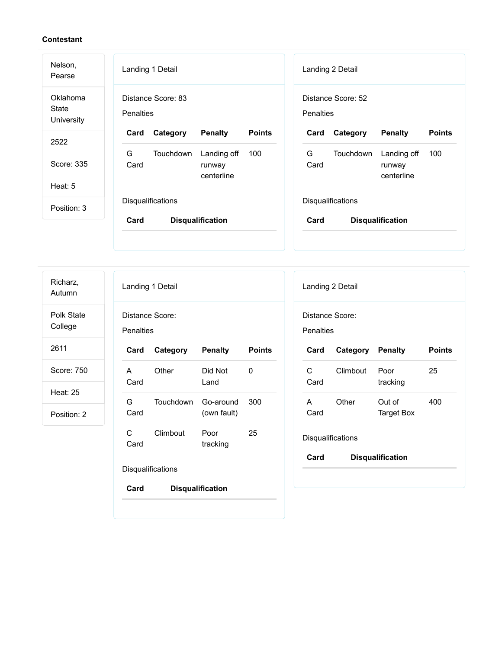| Nelson,<br>Pearse               | Landing 1 Detail<br>Landing 2 Detail                                                                                    |
|---------------------------------|-------------------------------------------------------------------------------------------------------------------------|
| Oklahoma<br>State<br>University | Distance Score: 83<br>Distance Score: 52<br><b>Penalties</b><br><b>Penalties</b>                                        |
| 2522                            | <b>Points</b><br><b>Points</b><br>Card<br>Category<br><b>Penalty</b><br><b>Penalty</b><br>Card<br>Category              |
| Score: 335                      | G<br>G<br>Touchdown<br>Landing off<br>100<br><b>Touchdown</b><br>Landing off<br>100<br>Card<br>Card<br>runway<br>runway |
| Heat: 5                         | centerline<br>centerline                                                                                                |
| Position: 3                     | <b>Disqualifications</b><br><b>Disqualifications</b>                                                                    |
|                                 | Card<br>Card<br><b>Disqualification</b><br><b>Disqualification</b>                                                      |
|                                 |                                                                                                                         |

Landing 1 Detail Distance Score: **Penalties Card Category Penalty Points** A Card Other Did Not Land 0 G Card Touchdown Go-around (own fault) 300 C Card Climbout Poor tracking 25 **Disqualifications Card Disqualification** Landing 2 Detail Distance Score: **Penalties Card Category Penalty Points** C Card Climbout Poor tracking 25 A Card Other Out of Target Box 400 **Disqualifications Card Disqualification** Richarz, Autumn Polk State College 2611 Score: 750 Heat: 25 Position: 2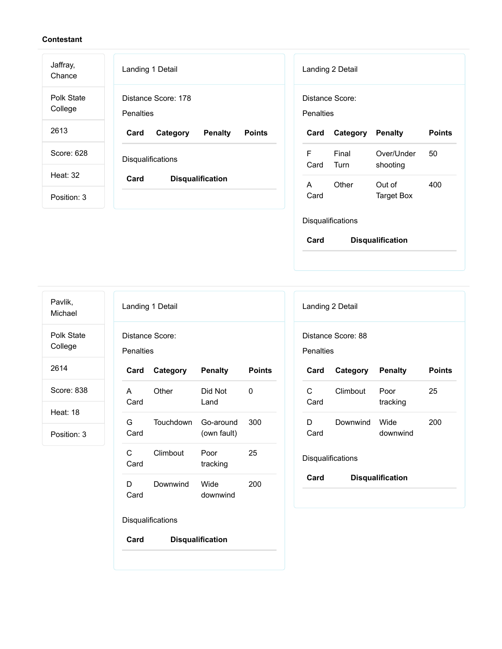| Jaffray,<br>Chance    | Landing 1 Detail                                    | Landing 2 Detail                                           |
|-----------------------|-----------------------------------------------------|------------------------------------------------------------|
| Polk State<br>College | Distance Score: 178<br><b>Penalties</b>             | Distance Score:<br><b>Penalties</b>                        |
| 2613                  | Card<br><b>Penalty</b><br><b>Points</b><br>Category | <b>Points</b><br>Category<br><b>Penalty</b><br>Card        |
| Score: 628            | Disqualifications                                   | F<br>Final<br>Over/Under<br>50<br>Card<br>Turn<br>shooting |
| Heat: 32              | Card<br><b>Disqualification</b>                     | $\mathsf{A}$<br>Other<br>400<br>Out of                     |
| Position: 3           |                                                     | Card<br><b>Target Box</b>                                  |
|                       |                                                     | Disqualifications                                          |

Pavlik, Michael

Polk State

College

2614

Score: 838

Heat: 18

Position: 3

| Landing 1 Detail                    |                   |                          |               |
|-------------------------------------|-------------------|--------------------------|---------------|
| Distance Score:<br><b>Penalties</b> |                   |                          |               |
| Card                                | Category          | <b>Penalty</b>           | <b>Points</b> |
| A<br>Card                           | Other             | Did Not<br>Land          | O             |
| G.<br>Card                          | Touchdown         | Go-around<br>(own fault) | 300           |
| C<br>Card                           | Climbout          | Poor<br>tracking         | 25            |
| D<br>Card                           | Downwind          | Wide<br>downwind         | 200           |
|                                     | Disqualifications |                          |               |

**Card Disqualification**

| Landing 2 Detail         |                    |                         |               |
|--------------------------|--------------------|-------------------------|---------------|
| Penalties                | Distance Score: 88 |                         |               |
| Card                     | Category Penalty   |                         | <b>Points</b> |
| C<br>Card                | Climbout           | Poor<br>tracking        | 25            |
| D<br>Card                | Downwind           | Wide<br>downwind        | 200           |
| <b>Disqualifications</b> |                    |                         |               |
| Card                     |                    | <b>Disqualification</b> |               |

**Card Disqualification**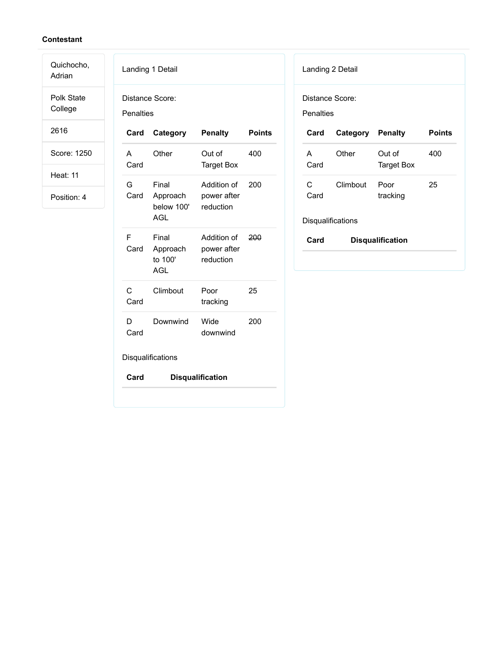Quichocho, Adrian

Polk State College

2616

Score: 1250

Heat: 11

Position: 4

| Landing 1 Detail     |                                            |                                         |               |
|----------------------|--------------------------------------------|-----------------------------------------|---------------|
| <b>Penalties</b>     | Distance Score:                            |                                         |               |
| Card                 | Category                                   | <b>Penalty</b>                          | <b>Points</b> |
| A<br>Card            | Other                                      | Out of<br><b>Target Box</b>             | 400           |
| G<br>Card            | Final<br>Approach<br>below 100'<br>AGL     | Addition of<br>power after<br>reduction | 200           |
| F<br>Card            | Final<br>Approach<br>to 100'<br><b>AGL</b> | Addition of<br>power after<br>reduction | 200           |
| $\mathsf{C}$<br>Card | Climbout                                   | Poor<br>tracking                        | 25            |
| D<br>Card            | Downwind                                   | Wide<br>downwind                        | 200           |
|                      | Disqualifications                          |                                         |               |
| Card                 |                                            | <b>Disqualification</b>                 |               |

| Landing 2 Detail |  |
|------------------|--|
|------------------|--|

Distance Score:

Penalties

| Card      | <b>Category Penalty</b> |                             | Points |
|-----------|-------------------------|-----------------------------|--------|
| А<br>Card | Other                   | Out of<br><b>Target Box</b> | 400    |
| C<br>Card | Climbout                | Poor<br>tracking            | 25     |

# Disqualifications

| Card | <b>Disqualification</b> |
|------|-------------------------|
|------|-------------------------|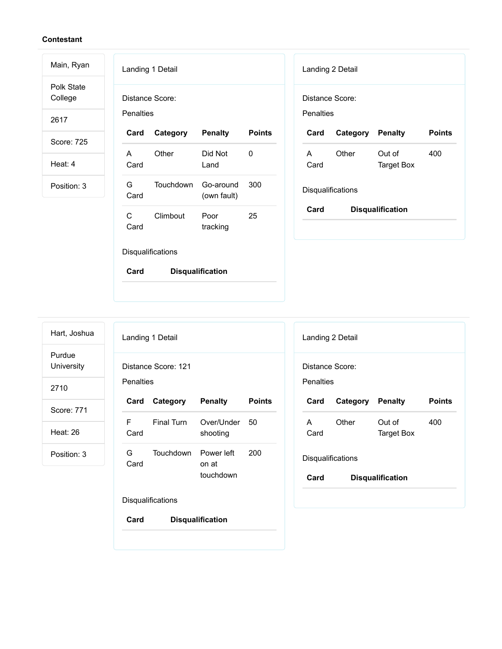Polk State College

Main, Ryan

2617

Score: 725

Heat: 4

Position: 3

| Landing 1 Detail                    |           |                          |               |
|-------------------------------------|-----------|--------------------------|---------------|
| Distance Score:<br><b>Penalties</b> |           |                          |               |
| Card                                | Category  | <b>Penalty</b>           | <b>Points</b> |
| А<br>Card                           | Other     | Did Not<br>Land          | O             |
| G.<br>Card                          | Touchdown | Go-around<br>(own fault) | 300           |
| C<br>Card                           | Climbout  | Poor<br>tracking         | 25            |
| Disqualifications                   |           |                          |               |
| Card                                |           | <b>Disqualification</b>  |               |

| Landing 2 Detail                |                  |                      |               |  |  |
|---------------------------------|------------------|----------------------|---------------|--|--|
| Distance Score:                 |                  |                      |               |  |  |
| Penalties                       |                  |                      |               |  |  |
| Card                            | Category Penalty |                      | <b>Points</b> |  |  |
| A<br>Card                       | Other            | Out of<br>Target Box | 400           |  |  |
| <b>Disqualifications</b>        |                  |                      |               |  |  |
| Card<br><b>Disqualification</b> |                  |                      |               |  |  |

Hart, Joshua

Purdue

**University** 

2710

Score: 771

Heat: 26

Position: 3

|            | Landing 1 Detail         |                                  |               |
|------------|--------------------------|----------------------------------|---------------|
| Penalties  | Distance Score: 121      |                                  |               |
| Card       | Category                 | <b>Penalty</b>                   | <b>Points</b> |
| F.<br>Card | Final Turn               | Over/Under 50<br>shooting        |               |
| G.<br>Card | Touchdown                | Power left<br>on at<br>touchdown | 200           |
|            | <b>Disqualifications</b> |                                  |               |

**Card Disqualification**

|                                 | Landing 2 Detail         |                      |               |  |  |
|---------------------------------|--------------------------|----------------------|---------------|--|--|
| Distance Score:<br>Penalties    |                          |                      |               |  |  |
| Card                            | Category Penalty         |                      | <b>Points</b> |  |  |
| A<br>Card                       | Other                    | Out of<br>Target Box | 400           |  |  |
|                                 | <b>Disqualifications</b> |                      |               |  |  |
| Card<br><b>Disqualification</b> |                          |                      |               |  |  |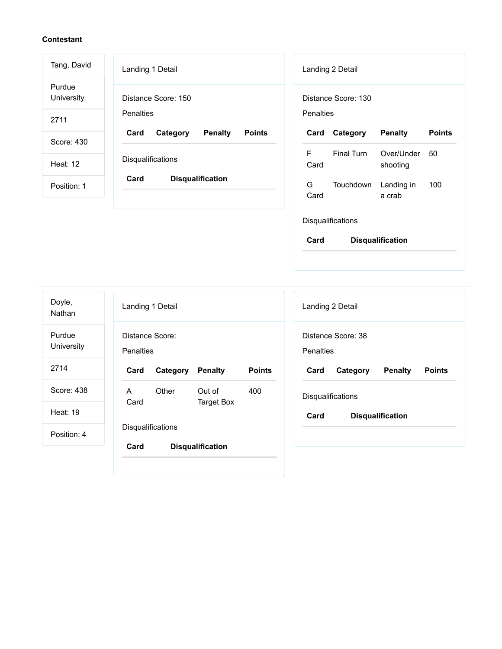| Tang, David          | Landing 1 Detail                                    | Landing 2 Detail                                        |
|----------------------|-----------------------------------------------------|---------------------------------------------------------|
| Purdue<br>University | Distance Score: 150                                 | Distance Score: 130                                     |
| 2711                 | <b>Penalties</b>                                    | Penalties                                               |
| Score: 430           | Card<br><b>Penalty</b><br><b>Points</b><br>Category | <b>Points</b><br>Category<br><b>Penalty</b><br>Card     |
| Heat: 12             | Disqualifications                                   | F<br>Final Turn<br>Over/Under<br>50<br>Card<br>shooting |
| Position: 1          | Card<br><b>Disqualification</b>                     | G<br>Touchdown<br>Landing in<br>100<br>Card<br>a crab   |
|                      |                                                     | Disqualifications                                       |

**Card Disqualification**

Landing 1 Detail Distance Score: **Penalties Card Category Penalty Points** A Card Other Out of Target Box 400 **Disqualifications Card Disqualification** Landing 2 Detail Distance Score: 38 **Penalties Card Category Penalty Points Disqualifications Card Disqualification** Doyle, Nathan Purdue University 2714 Score: 438 Heat: 19 Position: 4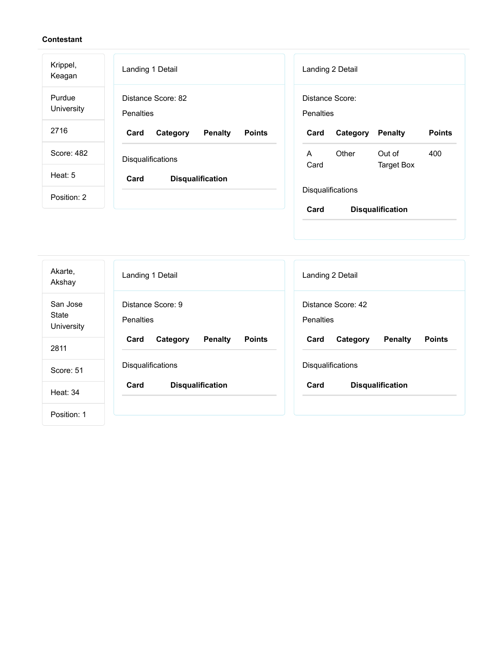| Krippel,<br>Keagan   | Landing 1 Detail                                    | Landing 2 Detail                                         |
|----------------------|-----------------------------------------------------|----------------------------------------------------------|
| Purdue<br>University | Distance Score: 82<br><b>Penalties</b>              | Distance Score:<br><b>Penalties</b>                      |
| 2716                 | <b>Penalty</b><br>Card<br>Category<br><b>Points</b> | <b>Points</b><br>Card<br>Category<br><b>Penalty</b>      |
| Score: 482           | Disqualifications                                   | Other<br>Out of<br>400<br>A<br>Card<br><b>Target Box</b> |
| Heat: $5$            | Card<br><b>Disqualification</b>                     |                                                          |
| Position: 2          |                                                     | <b>Disqualifications</b>                                 |
|                      |                                                     | Card<br><b>Disqualification</b>                          |

| Akarte,<br>Akshay                      | Landing 1 Detail                                    | Landing 2 Detail                                    |
|----------------------------------------|-----------------------------------------------------|-----------------------------------------------------|
| San Jose<br><b>State</b><br>University | Distance Score: 9<br>Penalties                      | Distance Score: 42<br><b>Penalties</b>              |
| 2811                                   | Card<br><b>Penalty</b><br><b>Points</b><br>Category | <b>Penalty</b><br><b>Points</b><br>Card<br>Category |
| Score: 51                              | Disqualifications                                   | Disqualifications                                   |
| <b>Heat: 34</b>                        | Card<br><b>Disqualification</b>                     | Card<br><b>Disqualification</b>                     |
| Position: 1                            |                                                     |                                                     |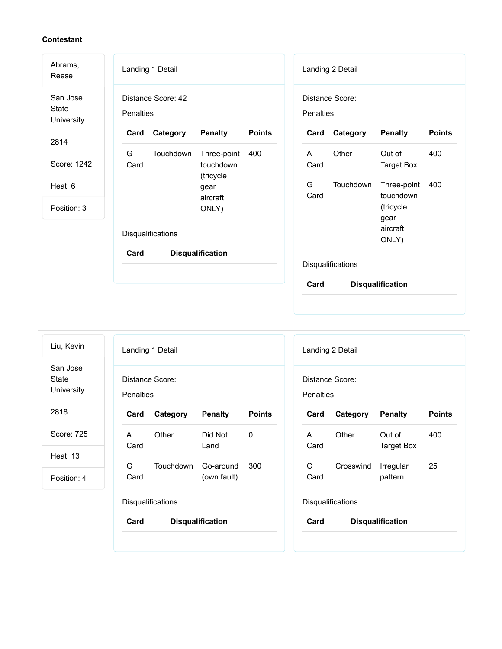| Landing 1 Detail                                          | Landing 2 Detail                                         |
|-----------------------------------------------------------|----------------------------------------------------------|
| Distance Score: 42<br><b>Penalties</b>                    | Distance Score:<br>Penalties                             |
| <b>Penalty</b><br>Category<br><b>Points</b><br>Card       | Category<br><b>Penalty</b><br><b>Points</b><br>Card      |
| G<br>Touchdown<br>Three-point<br>400<br>Card<br>touchdown | Other<br>400<br>Out of<br>A<br>Card<br><b>Target Box</b> |
| gear                                                      | G<br><b>Touchdown</b><br>Three-point<br>400<br>touchdown |
| ONLY)                                                     | Card<br>(tricycle<br>gear                                |
| Disqualifications                                         | aircraft<br>ONLY)                                        |
| Card<br><b>Disqualification</b>                           | Disqualifications                                        |
|                                                           | Card<br><b>Disqualification</b>                          |
|                                                           | (tricycle<br>aircraft                                    |

| Liu, Kevin                      |                                     | Landing 1 Detail  |                         |               | Landing 2 Detail                    |           |                             |               |
|---------------------------------|-------------------------------------|-------------------|-------------------------|---------------|-------------------------------------|-----------|-----------------------------|---------------|
| San Jose<br>State<br>University | Distance Score:<br><b>Penalties</b> |                   |                         |               | Distance Score:<br><b>Penalties</b> |           |                             |               |
| 2818                            | Card                                | Category          | <b>Penalty</b>          | <b>Points</b> | Card                                | Category  | <b>Penalty</b>              | <b>Points</b> |
| Score: 725                      | A<br>Card                           | Other             | Did Not<br>Land         | 0             | A<br>Card                           | Other     | Out of<br><b>Target Box</b> | 400           |
| <b>Heat: 13</b>                 | G                                   | Touchdown         | Go-around               | 300           | C                                   | Crosswind | Irregular                   | 25            |
| Position: 4                     | Card                                |                   | (own fault)             |               | Card                                |           | pattern                     |               |
|                                 |                                     | Disqualifications |                         |               | Disqualifications                   |           |                             |               |
|                                 | Card                                |                   | <b>Disqualification</b> |               | Card                                |           | <b>Disqualification</b>     |               |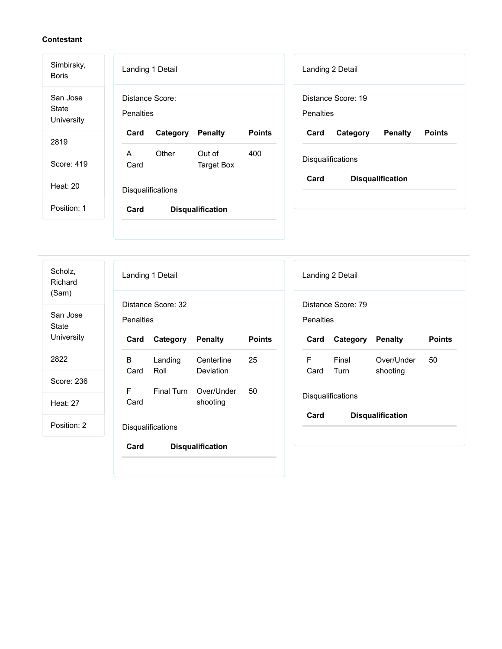| Simbirsky,<br><b>Boris</b>             | Landing 1 Detail<br>Landing 2 Detail                                                                       |
|----------------------------------------|------------------------------------------------------------------------------------------------------------|
| San Jose<br><b>State</b><br>University | Distance Score:<br>Distance Score: 19<br>Penalties<br><b>Penalties</b>                                     |
| 2819                                   | <b>Points</b><br>Card<br>Category<br><b>Penalty</b><br>Card<br><b>Penalty</b><br><b>Points</b><br>Category |
|                                        | Other<br>Out of<br>A<br>400                                                                                |
| Score: 419                             | Disqualifications<br>Card<br><b>Target Box</b>                                                             |
| Heat: $20$                             | Card<br><b>Disqualification</b><br>Disqualifications                                                       |
| Position: 1                            | Card<br><b>Disqualification</b>                                                                            |
|                                        |                                                                                                            |

| Scholz,<br>Richard<br>(Sam) |                  | Landing 1 Detail         |                         |               |
|-----------------------------|------------------|--------------------------|-------------------------|---------------|
| San Jose<br><b>State</b>    | <b>Penalties</b> | Distance Score: 32       |                         |               |
| University                  | Card             | Category                 | <b>Penalty</b>          | <b>Points</b> |
| 2822                        | B.<br>Card       | Landing<br>Roll          | Centerline<br>Deviation | 25            |
| Score: 236                  | F.               |                          | Final Turn Over/Under   | 50            |
| Heat: $27$                  | Card             |                          | shooting                |               |
| Position: 2                 |                  | <b>Disqualifications</b> |                         |               |
|                             | Card             |                          | <b>Disqualification</b> |               |
|                             |                  |                          |                         |               |

|                                 | Landing 2 Detail   |                        |               |  |  |
|---------------------------------|--------------------|------------------------|---------------|--|--|
| Penalties                       | Distance Score: 79 |                        |               |  |  |
| Card                            | Category Penalty   |                        | <b>Points</b> |  |  |
| F<br>Card Turn                  | Final              | Over/Under<br>shooting | 50            |  |  |
|                                 | Disqualifications  |                        |               |  |  |
| Card<br><b>Disqualification</b> |                    |                        |               |  |  |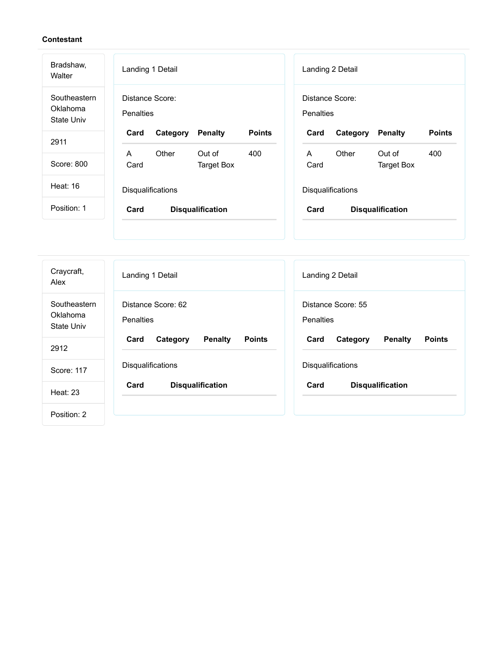| Bradshaw,<br>Walter                           | Landing 1 Detail |                   |                         |               | Landing 2 Detail |                   |                         |               |
|-----------------------------------------------|------------------|-------------------|-------------------------|---------------|------------------|-------------------|-------------------------|---------------|
| Southeastern<br>Oklahoma<br><b>State Univ</b> | <b>Penalties</b> | Distance Score:   |                         |               | Penalties        | Distance Score:   |                         |               |
| 2911                                          | Card             | Category          | <b>Penalty</b>          | <b>Points</b> | Card             | Category          | <b>Penalty</b>          | <b>Points</b> |
|                                               | A                | Other             | Out of                  | 400           | A                | Other             | Out of                  | 400           |
| Score: 800                                    | Card             |                   | <b>Target Box</b>       |               | Card             |                   | <b>Target Box</b>       |               |
| Heat: 16                                      |                  | Disqualifications |                         |               |                  | Disqualifications |                         |               |
| Position: 1                                   | Card             |                   | <b>Disqualification</b> |               | Card             |                   | <b>Disqualification</b> |               |
|                                               |                  |                   |                         |               |                  |                   |                         |               |

| Craycraft,<br>Alex                     | Landing 1 Detail                                    | Landing 2 Detail                             |  |
|----------------------------------------|-----------------------------------------------------|----------------------------------------------|--|
| Southeastern<br>Oklahoma<br>State Univ | Distance Score: 62<br><b>Penalties</b>              | Distance Score: 55<br><b>Penalties</b>       |  |
| 2912                                   | <b>Points</b><br><b>Penalty</b><br>Card<br>Category | Card<br>Penalty<br><b>Points</b><br>Category |  |
| Score: 117                             | Disqualifications                                   | Disqualifications                            |  |
| <b>Heat: 23</b>                        | Card<br><b>Disqualification</b>                     | Card<br><b>Disqualification</b>              |  |
| Position: 2                            |                                                     |                                              |  |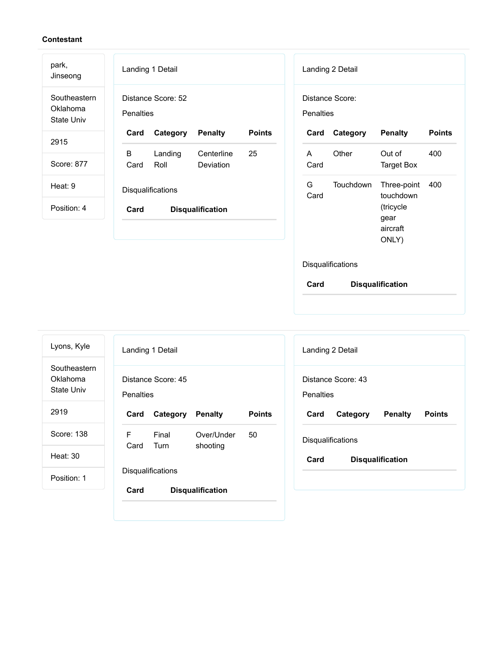| park,<br>Jinseong                             | Landing 1 Detail                                    | Landing 2 Detail                                                 |  |  |
|-----------------------------------------------|-----------------------------------------------------|------------------------------------------------------------------|--|--|
| Southeastern<br>Oklahoma<br><b>State Univ</b> | Distance Score: 52<br>Penalties                     | Distance Score:<br><b>Penalties</b>                              |  |  |
| 2915                                          | <b>Points</b><br>Card<br>Category<br><b>Penalty</b> | <b>Points</b><br>Category<br><b>Penalty</b><br>Card              |  |  |
|                                               | B<br>25<br>Landing<br>Centerline                    | Other<br>400<br>Out of<br>A                                      |  |  |
| Score: 877                                    | Roll<br>Deviation<br>Card                           | Card<br><b>Target Box</b>                                        |  |  |
| Heat: 9                                       | Disqualifications                                   | G<br><b>Touchdown</b><br>Three-point<br>400<br>touchdown<br>Card |  |  |
| Position: 4                                   | Card<br><b>Disqualification</b>                     | (tricycle                                                        |  |  |
|                                               |                                                     | gear<br>aircraft<br>ONLY)                                        |  |  |

# Disqualifications

| Lyons, Kyle                            | Landing 2 Detail<br>Landing 1 Detail                                                                       |
|----------------------------------------|------------------------------------------------------------------------------------------------------------|
| Southeastern<br>Oklahoma<br>State Univ | Distance Score: 45<br>Distance Score: 43<br><b>Penalties</b><br><b>Penalties</b>                           |
| 2919                                   | <b>Points</b><br><b>Penalty</b><br><b>Points</b><br>Category<br><b>Penalty</b><br>Card<br>Category<br>Card |
| Score: 138                             | F<br>Final<br>Over/Under<br>50<br><b>Disqualifications</b><br>Turn<br>Card<br>shooting                     |
| Heat: 30                               | Card<br><b>Disqualification</b>                                                                            |
| Position: 1                            | <b>Disqualifications</b><br>Card                                                                           |
|                                        | <b>Disqualification</b>                                                                                    |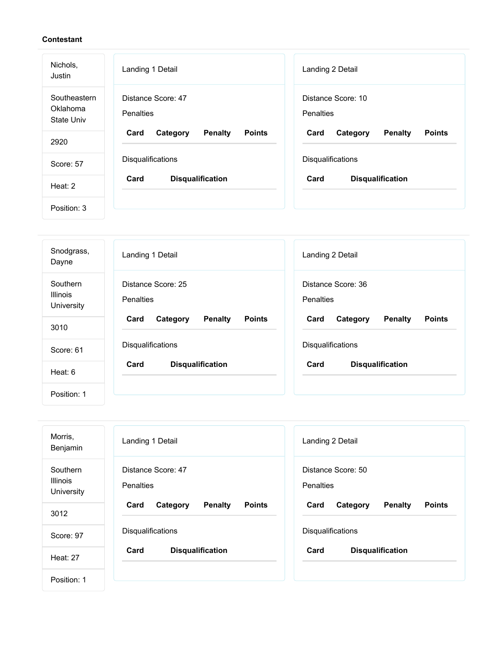| Nichols,<br>Justin                     | Landing 1 Detail                                    | Landing 2 Detail                                    |  |
|----------------------------------------|-----------------------------------------------------|-----------------------------------------------------|--|
| Southeastern<br>Oklahoma<br>State Univ | Distance Score: 47<br>Penalties                     | Distance Score: 10<br><b>Penalties</b>              |  |
| 2920                                   | <b>Penalty</b><br>Card<br>Category<br><b>Points</b> | <b>Penalty</b><br>Card<br>Category<br><b>Points</b> |  |
| Score: 57                              | Disqualifications                                   | Disqualifications                                   |  |
| Heat: 2                                | Card<br><b>Disqualification</b>                     | Card<br><b>Disqualification</b>                     |  |
| Position: 3                            |                                                     |                                                     |  |

| Snodgrass,<br>Dayne                       | Landing 1 Detail                                    | Landing 2 Detail                                    |  |
|-------------------------------------------|-----------------------------------------------------|-----------------------------------------------------|--|
| Southern<br><b>Illinois</b><br>University | Distance Score: 25<br><b>Penalties</b>              | Distance Score: 36<br>Penalties                     |  |
| 3010                                      | <b>Points</b><br>Card<br>Category<br><b>Penalty</b> | <b>Penalty</b><br><b>Points</b><br>Card<br>Category |  |
| Score: 61                                 | <b>Disqualifications</b>                            | <b>Disqualifications</b>                            |  |
| Heat: 6                                   | Card<br><b>Disqualification</b>                     | Card<br><b>Disqualification</b>                     |  |
| Position: 1                               |                                                     |                                                     |  |

| Morris,<br>Benjamin                       | Landing 1 Detail                                    | Landing 2 Detail                                    |  |
|-------------------------------------------|-----------------------------------------------------|-----------------------------------------------------|--|
| Southern<br><b>Illinois</b><br>University | Distance Score: 47<br><b>Penalties</b>              | Distance Score: 50<br>Penalties                     |  |
| 3012                                      | <b>Penalty</b><br>Card<br>Category<br><b>Points</b> | Card<br><b>Penalty</b><br><b>Points</b><br>Category |  |
| Score: 97                                 | Disqualifications                                   | Disqualifications                                   |  |
| <b>Heat: 27</b>                           | Card<br><b>Disqualification</b>                     | Card<br><b>Disqualification</b>                     |  |
| Position: 1                               |                                                     |                                                     |  |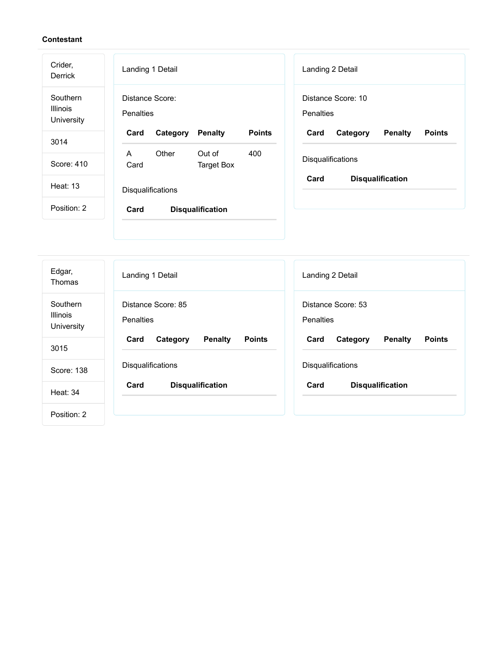| Crider,<br>Derrick                        | Landing 1 Detail                                                    | Landing 2 Detail                                    |  |
|-------------------------------------------|---------------------------------------------------------------------|-----------------------------------------------------|--|
| Southern<br><b>Illinois</b><br>University | Distance Score:<br>Penalties                                        | Distance Score: 10<br>Penalties                     |  |
| 3014                                      | Category<br><b>Penalty</b><br><b>Points</b><br>Card                 | Category<br><b>Penalty</b><br>Card<br><b>Points</b> |  |
| Score: 410                                | Other<br>Out of<br>400<br>$\mathsf{A}$<br>Card<br><b>Target Box</b> | Disqualifications                                   |  |
| <b>Heat: 13</b>                           | Disqualifications                                                   | Card<br><b>Disqualification</b>                     |  |
| Position: 2                               | Card<br><b>Disqualification</b>                                     |                                                     |  |
|                                           |                                                                     |                                                     |  |
| Edgar,                                    | Landing 1 Detail                                                    | Landing 2 Detail                                    |  |

| Edgar,<br>Thomas                          | Landing 1 Detail                                    | Landing 2 Detail                                    |  |
|-------------------------------------------|-----------------------------------------------------|-----------------------------------------------------|--|
| Southern<br><b>Illinois</b><br>University | Distance Score: 85<br><b>Penalties</b>              | Distance Score: 53<br><b>Penalties</b>              |  |
| 3015                                      | <b>Penalty</b><br><b>Points</b><br>Card<br>Category | <b>Penalty</b><br>Card<br>Category<br><b>Points</b> |  |
| Score: 138                                | Disqualifications                                   | Disqualifications                                   |  |
| Heat: 34                                  | <b>Disqualification</b><br>Card                     | <b>Disqualification</b><br>Card                     |  |
| Position: 2                               |                                                     |                                                     |  |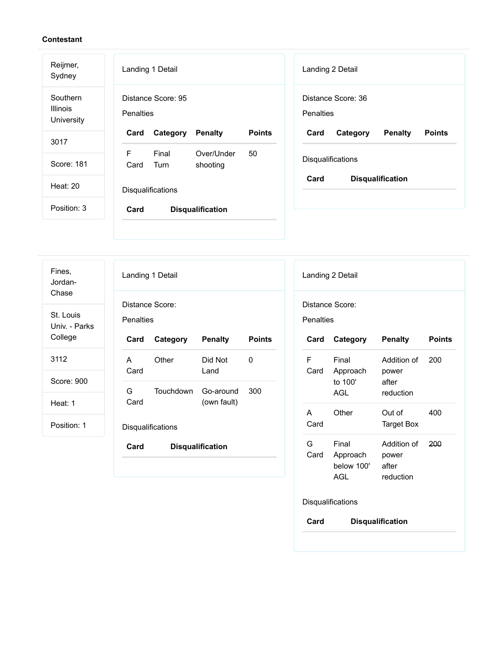| Reijmer,<br>Sydney                        | Landing 1 Detail<br>Landing 2 Detail                                                                       |
|-------------------------------------------|------------------------------------------------------------------------------------------------------------|
| Southern<br><b>Illinois</b><br>University | Distance Score: 95<br>Distance Score: 36<br>Penalties<br><b>Penalties</b>                                  |
| 3017                                      | Card<br>Category<br><b>Points</b><br><b>Penalty</b><br><b>Points</b><br><b>Penalty</b><br>Card<br>Category |
|                                           | F<br>Final<br>Over/Under<br>50<br>Disqualifications                                                        |
| Score: 181                                | Card<br>Turn<br>shooting                                                                                   |
| Heat: 20                                  | Card<br><b>Disqualification</b><br>Disqualifications                                                       |
| Position: 3                               | Card<br><b>Disqualification</b>                                                                            |
|                                           |                                                                                                            |
|                                           |                                                                                                            |

| Fines,<br>Jordan-                   | Landing 1 Detail                    |                          |                         |               |  |
|-------------------------------------|-------------------------------------|--------------------------|-------------------------|---------------|--|
| Chase<br>St. Louis<br>Univ. - Parks | Distance Score:<br><b>Penalties</b> |                          |                         |               |  |
| College                             | Card                                | Category                 | <b>Penalty</b>          | <b>Points</b> |  |
| 3112                                | A<br>Card                           | Other                    | Did Not<br>Land         | O             |  |
| Score: 900                          | G.                                  | Touchdown                | Go-around               | 300           |  |
| Heat: 1                             | Card                                |                          | (own fault)             |               |  |
| Position: 1                         |                                     | <b>Disqualifications</b> |                         |               |  |
|                                     | Card                                |                          | <b>Disqualification</b> |               |  |
|                                     |                                     |                          |                         |               |  |

| Landing 2 Detail                |                                        |                                            |               |  |  |
|---------------------------------|----------------------------------------|--------------------------------------------|---------------|--|--|
|                                 | Distance Score:<br><b>Penalties</b>    |                                            |               |  |  |
| Card                            | Category                               | <b>Penalty</b>                             | <b>Points</b> |  |  |
| F<br>Card                       | Final<br>Approach<br>to 100'<br>AGL    | Addition of<br>power<br>after<br>reduction | 200           |  |  |
| А<br>Card                       | Other                                  | Out of<br><b>Target Box</b>                | 400           |  |  |
| G<br>Card                       | Final<br>Approach<br>below 100'<br>AGL | Addition of<br>power<br>after<br>reduction | 200           |  |  |
| Disqualifications               |                                        |                                            |               |  |  |
| Card<br><b>Disqualification</b> |                                        |                                            |               |  |  |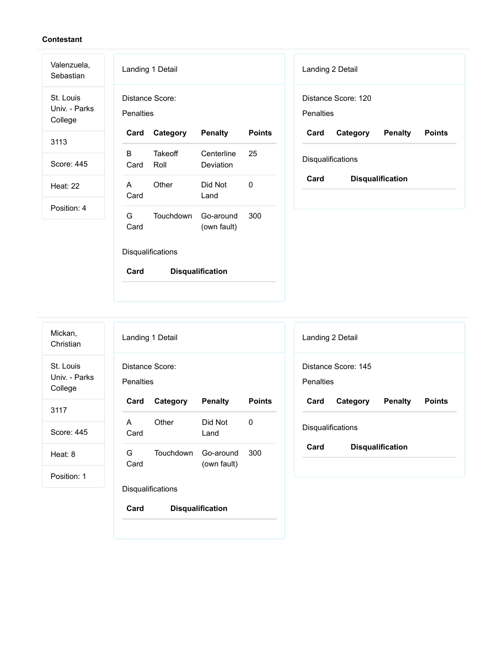St. Louis Univ. - Parks College

Valenzuela, Sebastian

3113

Score: 445

Heat: 22

Position: 4

|                              | Landing 1 Detail  |                          |               |  |
|------------------------------|-------------------|--------------------------|---------------|--|
| Distance Score:<br>Penalties |                   |                          |               |  |
| Card                         | Category          | <b>Penalty</b>           | <b>Points</b> |  |
| R<br>Card                    | Takeoff<br>Roll   | Centerline<br>Deviation  | 25            |  |
| А<br>Card                    | Other             | Did Not<br>Land          | U             |  |
| G.<br>Card                   | <b>Touchdown</b>  | Go-around<br>(own fault) | 300           |  |
|                              | Disqualifications |                          |               |  |
| Card                         |                   | Disqualification         |               |  |

| Landing 2 Detail                 |          |                         |               |
|----------------------------------|----------|-------------------------|---------------|
| Distance Score: 120<br>Penalties |          |                         |               |
|                                  |          |                         |               |
| Card                             | Category | <b>Penalty</b>          | <b>Points</b> |
| <b>Disqualifications</b>         |          |                         |               |
| Card                             |          | <b>Disqualification</b> |               |

| Mickan.<br>Christian |  |
|----------------------|--|
| St. Louis            |  |

Univ. - Parks College

3117

Score: 445

Heat: 8

Position: 1

| Landing 1 Detail |                         |                          |               |
|------------------|-------------------------|--------------------------|---------------|
| Penalties        | Distance Score:         |                          |               |
| Card             | <b>Category Penalty</b> |                          | <b>Points</b> |
| A<br>Card        | Other                   | Did Not<br>Land          | 0             |
| G.<br>Card       | Touchdown               | Go-around<br>(own fault) | 300           |
|                  | Disqualifications       |                          |               |
|                  |                         |                          |               |

| Landing 2 Detail                 |          |                         |               |
|----------------------------------|----------|-------------------------|---------------|
| Distance Score: 145<br>Penalties |          |                         |               |
| Card                             | Category | Penalty                 | <b>Points</b> |
| Disqualifications                |          |                         |               |
| Card                             |          | <b>Disqualification</b> |               |

**Card Disqualification**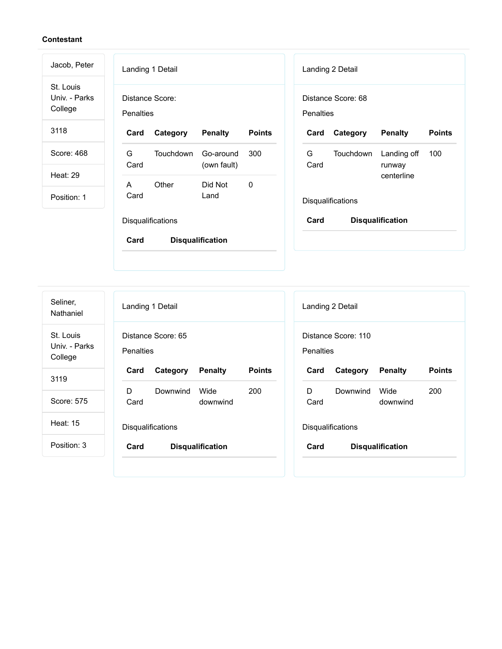| Jacob, Peter                          | Landing 1 Detail                    |           |                          |               |                  | Landing 2 Detail   |                         |               |
|---------------------------------------|-------------------------------------|-----------|--------------------------|---------------|------------------|--------------------|-------------------------|---------------|
| St. Louis<br>Univ. - Parks<br>College | Distance Score:<br><b>Penalties</b> |           |                          |               | <b>Penalties</b> | Distance Score: 68 |                         |               |
| 3118                                  | Card                                | Category  | <b>Penalty</b>           | <b>Points</b> | Card             | Category           | <b>Penalty</b>          | <b>Points</b> |
| Score: 468                            | G<br>Card                           | Touchdown | Go-around<br>(own fault) | 300           | G<br>Card        | <b>Touchdown</b>   | Landing off<br>runway   | 100           |
| <b>Heat: 29</b>                       | A                                   | Other     | Did Not                  | $\mathbf 0$   |                  |                    | centerline              |               |
| Position: 1                           | Card                                |           | Land                     |               |                  | Disqualifications  |                         |               |
|                                       | Disqualifications                   |           |                          |               | Card             |                    | <b>Disqualification</b> |               |
|                                       | Card                                |           | <b>Disqualification</b>  |               |                  |                    |                         |               |

| Seliner,<br>Nathaniel                 | Landing 1 Detail                                    | Landing 2 Detail                                    |
|---------------------------------------|-----------------------------------------------------|-----------------------------------------------------|
| St. Louis<br>Univ. - Parks<br>College | Distance Score: 65<br><b>Penalties</b>              | Distance Score: 110<br><b>Penalties</b>             |
| 3119                                  | <b>Points</b><br><b>Penalty</b><br>Card<br>Category | <b>Penalty</b><br><b>Points</b><br>Card<br>Category |
|                                       | Wide<br>D<br>Downwind<br>200<br>D.                  | Downwind<br>Wide<br>200                             |
| Score: 575                            | Card<br>downwind                                    | Card<br>downwind                                    |
| Heat: 15                              | Disqualifications                                   | Disqualifications                                   |
| Position: 3                           | Card<br><b>Disqualification</b>                     | Card<br><b>Disqualification</b>                     |
|                                       |                                                     |                                                     |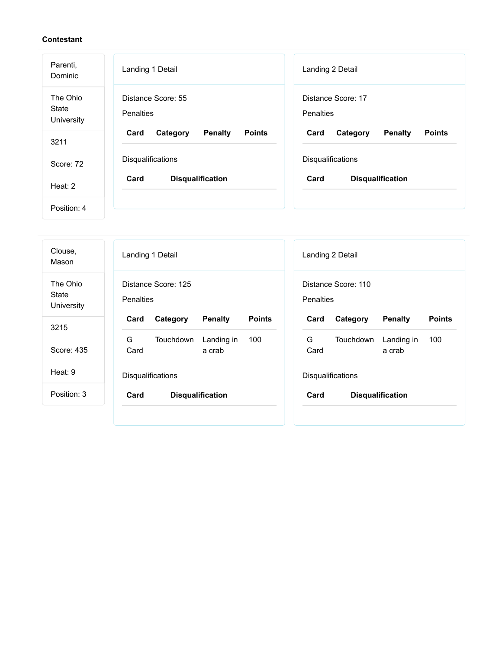| Parenti,<br>Dominic             | Landing 1 Detail                                    | Landing 2 Detail                                    |
|---------------------------------|-----------------------------------------------------|-----------------------------------------------------|
| The Ohio<br>State<br>University | Distance Score: 55<br>Penalties                     | Distance Score: 17<br><b>Penalties</b>              |
| 3211                            | <b>Penalty</b><br><b>Points</b><br>Card<br>Category | <b>Penalty</b><br><b>Points</b><br>Card<br>Category |
| Score: 72                       | Disqualifications                                   | Disqualifications                                   |
| Heat: 2                         | Card<br><b>Disqualification</b>                     | Card<br><b>Disqualification</b>                     |
| Position: 4                     |                                                     |                                                     |

| Clouse,<br>Mason                | Landing 1 Detail                                    | Landing 2 Detail                                    |
|---------------------------------|-----------------------------------------------------|-----------------------------------------------------|
| The Ohio<br>State<br>University | Distance Score: 125<br><b>Penalties</b>             | Distance Score: 110<br>Penalties                    |
| 3215                            | <b>Points</b><br><b>Penalty</b><br>Card<br>Category | Card<br>Category<br><b>Penalty</b><br><b>Points</b> |
|                                 | G<br>Touchdown<br>Landing in<br>100                 | G<br>Touchdown<br>Landing in<br>100                 |
| Score: 435                      | Card<br>a crab                                      | Card<br>a crab                                      |
| Heat: 9                         | <b>Disqualifications</b>                            | <b>Disqualifications</b>                            |
| Position: 3                     | <b>Disqualification</b><br>Card                     | Card<br><b>Disqualification</b>                     |
|                                 |                                                     |                                                     |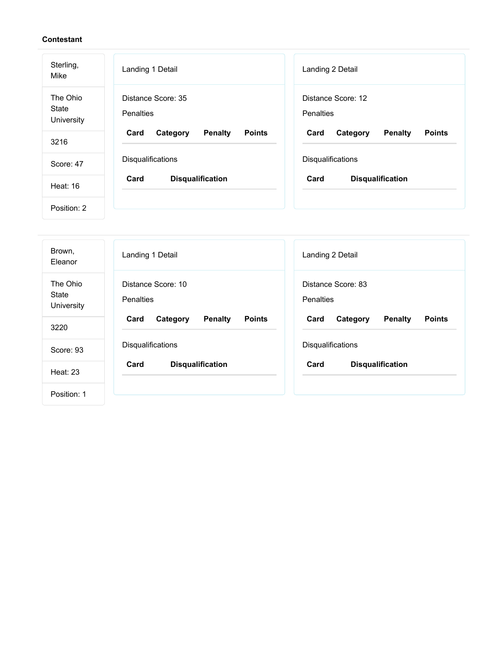| Sterling,<br>Mike                      | Landing 1 Detail                                    | Landing 2 Detail                             |
|----------------------------------------|-----------------------------------------------------|----------------------------------------------|
| The Ohio<br><b>State</b><br>University | Distance Score: 35<br>Penalties                     | Distance Score: 12<br><b>Penalties</b>       |
| 3216                                   | Card<br><b>Penalty</b><br><b>Points</b><br>Category | Card<br>Category<br>Penalty<br><b>Points</b> |
| Score: 47                              | Disqualifications                                   | Disqualifications                            |
| <b>Heat: 16</b>                        | Card<br><b>Disqualification</b>                     | Card<br><b>Disqualification</b>              |
| Position: 2                            |                                                     |                                              |

| Brown,<br>Eleanor               | Landing 1 Detail                                    | Landing 2 Detail                                    |
|---------------------------------|-----------------------------------------------------|-----------------------------------------------------|
| The Ohio<br>State<br>University | Distance Score: 10<br><b>Penalties</b>              | Distance Score: 83<br><b>Penalties</b>              |
| 3220                            | Category<br><b>Penalty</b><br><b>Points</b><br>Card | <b>Penalty</b><br>Card<br><b>Points</b><br>Category |
| Score: 93                       | Disqualifications                                   | Disqualifications                                   |
| Heat: 23                        | Card<br><b>Disqualification</b>                     | Card<br><b>Disqualification</b>                     |
| Position: 1                     |                                                     |                                                     |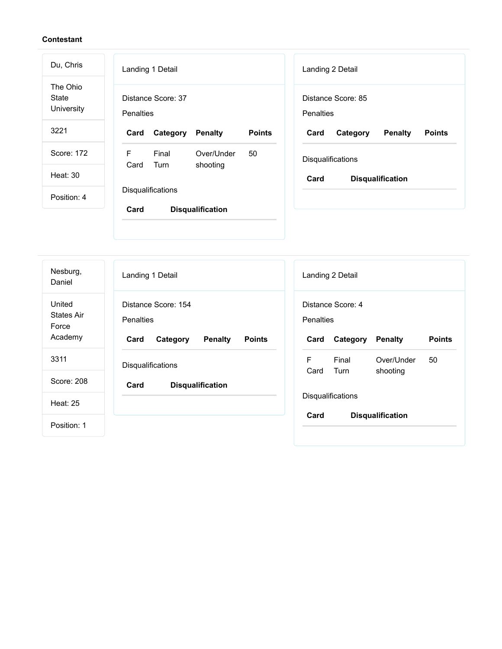| Du, Chris                       | Landing 1 Detail<br>Landing 2 Detail                                                                       |
|---------------------------------|------------------------------------------------------------------------------------------------------------|
| The Ohio<br>State<br>University | Distance Score: 37<br>Distance Score: 85<br>Penalties<br><b>Penalties</b>                                  |
| 3221                            | <b>Points</b><br>Card<br>Category<br><b>Penalty</b><br>Card<br>Category<br><b>Penalty</b><br><b>Points</b> |
| Score: 172                      | F<br>Final<br>Over/Under<br>50<br>Disqualifications<br>Card                                                |
| Heat: 30                        | Turn<br>shooting<br>Card<br><b>Disqualification</b>                                                        |
| Position: 4                     | Disqualifications                                                                                          |
|                                 | Card<br><b>Disqualification</b>                                                                            |
|                                 |                                                                                                            |

| Nesburg,<br>Daniel                              | Landing 1 Detail                                                                        | Landing 2 Detail                                                                      |
|-------------------------------------------------|-----------------------------------------------------------------------------------------|---------------------------------------------------------------------------------------|
| United<br><b>States Air</b><br>Force<br>Academy | Distance Score: 154<br>Penalties<br>Category<br><b>Penalty</b><br><b>Points</b><br>Card | Distance Score: 4<br>Penalties<br><b>Points</b><br>Category<br><b>Penalty</b><br>Card |
| 3311                                            | Disqualifications                                                                       | F<br>Over/Under<br>50<br>Final<br>Card<br>Turn<br>shooting                            |
| Score: 208<br><b>Heat: 25</b>                   | Card<br><b>Disqualification</b>                                                         | Disqualifications                                                                     |
| Position: 1                                     |                                                                                         | Card<br><b>Disqualification</b>                                                       |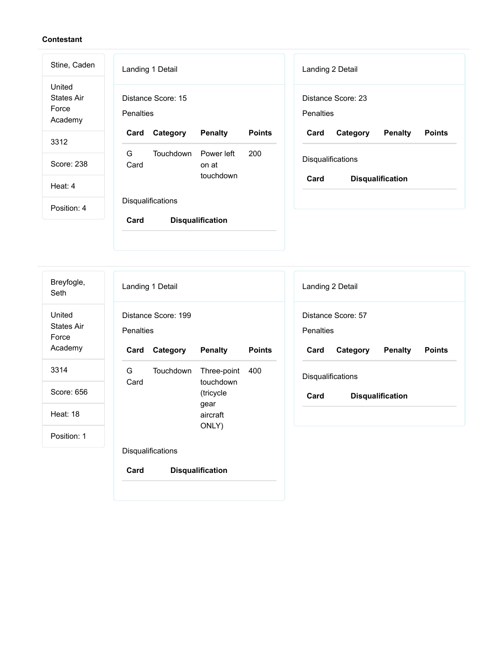| Stine, Caden                                    | Landing 1 Detail<br>Landing 2 Detail                                                                       |
|-------------------------------------------------|------------------------------------------------------------------------------------------------------------|
| United<br><b>States Air</b><br>Force<br>Academy | Distance Score: 15<br>Distance Score: 23<br>Penalties<br><b>Penalties</b>                                  |
| 3312                                            | <b>Points</b><br>Card<br>Category<br><b>Penalty</b><br>Card<br><b>Penalty</b><br><b>Points</b><br>Category |
| Score: 238                                      | G<br>Touchdown<br>Power left<br>200<br>Disqualifications<br>Card<br>on at                                  |
| Heat: 4                                         | touchdown<br>Card<br><b>Disqualification</b>                                                               |
| Position: 4                                     | <b>Disqualifications</b>                                                                                   |
|                                                 | Card<br><b>Disqualification</b>                                                                            |

Landing 1 Detail Distance Score: 199 **Penalties Card Category Penalty Points** G Card Touchdown touchdown (tricycle gear aircraft ONLY) Three-point 400 **Disqualifications Card Disqualification** Landing 2 Detail Distance Score: 57 **Penalties Card Category Penalty Points** Disqualifications **Card Disqualification** Breyfogle, Seth United States Air Force Academy 3314 Score: 656 Heat: 18 Position: 1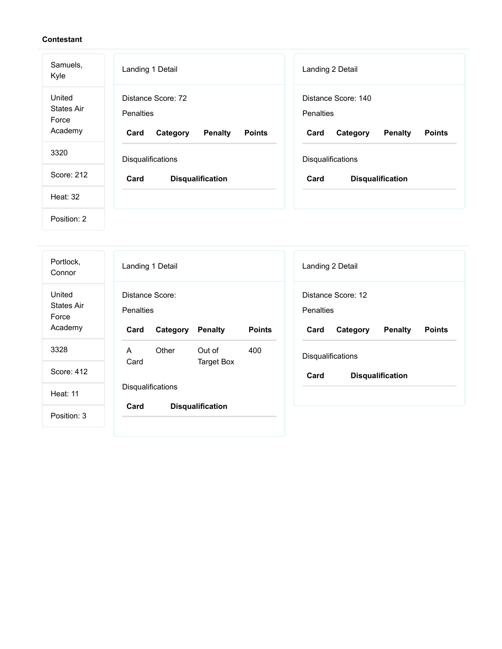| Samuels,<br>Kyle                                | Landing 1 Detail                                                                       | Landing 2 Detail                                                                               |
|-------------------------------------------------|----------------------------------------------------------------------------------------|------------------------------------------------------------------------------------------------|
| United<br><b>States Air</b><br>Force<br>Academy | Distance Score: 72<br>Penalties<br><b>Penalty</b><br><b>Points</b><br>Category<br>Card | Distance Score: 140<br><b>Penalties</b><br><b>Penalty</b><br><b>Points</b><br>Card<br>Category |
| 3320                                            | Disqualifications                                                                      | Disqualifications                                                                              |
| Score: 212                                      | Card<br><b>Disqualification</b>                                                        | Card<br><b>Disqualification</b>                                                                |
| <b>Heat: 32</b>                                 |                                                                                        |                                                                                                |
| Position: 2                                     |                                                                                        |                                                                                                |

| Portlock,<br>Connor                             | Landing 1 Detail<br>Landing 2 Detail                                                                                                                                                 |
|-------------------------------------------------|--------------------------------------------------------------------------------------------------------------------------------------------------------------------------------------|
| United<br><b>States Air</b><br>Force<br>Academy | Distance Score:<br>Distance Score: 12<br><b>Penalties</b><br>Penalties<br><b>Points</b><br>Card<br><b>Penalty</b><br>Category<br><b>Penalty</b><br>Card<br>Category<br><b>Points</b> |
| 3328                                            | Other<br>Out of<br>400<br>A<br><b>Disqualifications</b>                                                                                                                              |
| Score: 412                                      | Card<br><b>Target Box</b><br>Card<br><b>Disqualification</b>                                                                                                                         |
| <b>Heat: 11</b>                                 | <b>Disqualifications</b>                                                                                                                                                             |
| Position: 3                                     | Card<br><b>Disqualification</b>                                                                                                                                                      |
|                                                 |                                                                                                                                                                                      |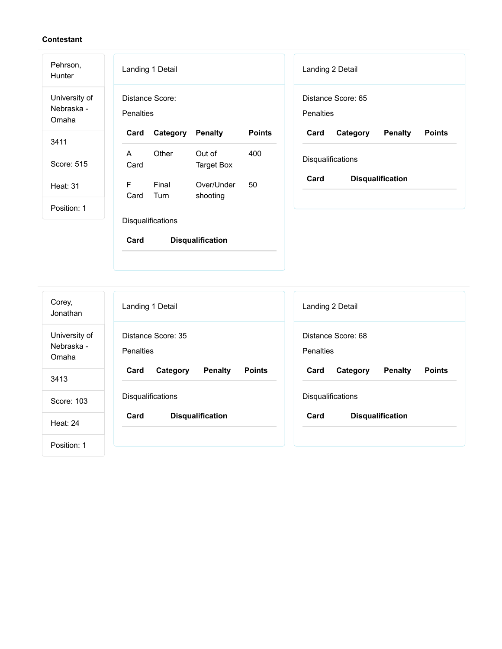| Pehrson,<br><b>Hunter</b>            | Landing 1 Detail                                           | Landing 2 Detail                             |
|--------------------------------------|------------------------------------------------------------|----------------------------------------------|
| University of<br>Nebraska -<br>Omaha | Distance Score:<br><b>Penalties</b>                        | Distance Score: 65<br><b>Penalties</b>       |
| 3411                                 | Category<br><b>Penalty</b><br><b>Points</b><br>Card        | Penalty<br><b>Points</b><br>Card<br>Category |
|                                      | Other<br>A<br>Out of<br>400                                |                                              |
| Score: 515                           | Card<br><b>Target Box</b>                                  | Disqualifications                            |
| <b>Heat: 31</b>                      | F<br>Final<br>Over/Under<br>50<br>Card<br>Turn<br>shooting | Card<br><b>Disqualification</b>              |
| Position: 1                          |                                                            |                                              |
|                                      | Disqualifications                                          |                                              |
|                                      | Card<br><b>Disqualification</b>                            |                                              |

| Corey,<br>Jonathan                   | Landing 1 Detail                                    | Landing 2 Detail                                    |
|--------------------------------------|-----------------------------------------------------|-----------------------------------------------------|
| University of<br>Nebraska -<br>Omaha | Distance Score: 35<br><b>Penalties</b>              | Distance Score: 68<br>Penalties                     |
| 3413                                 | <b>Penalty</b><br><b>Points</b><br>Card<br>Category | <b>Penalty</b><br><b>Points</b><br>Card<br>Category |
| Score: 103                           | <b>Disqualifications</b>                            | <b>Disqualifications</b>                            |
| <b>Heat: 24</b>                      | <b>Disqualification</b><br>Card                     | Card<br><b>Disqualification</b>                     |
| Position: 1                          |                                                     |                                                     |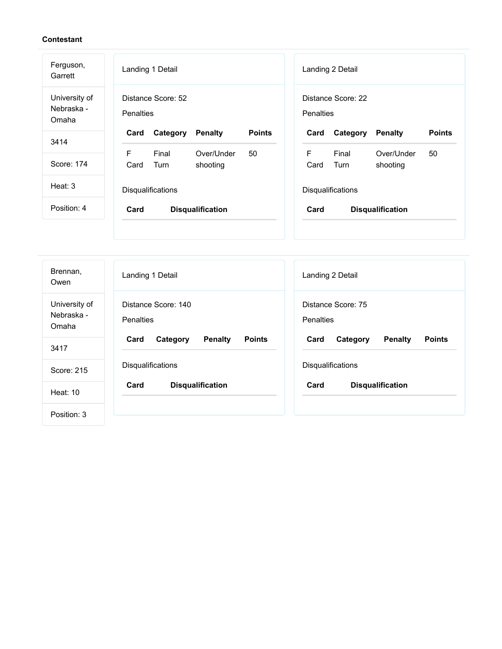| Ferguson,<br>Garrett                 | Landing 1 Detail<br>Landing 2 Detail                                                                       |
|--------------------------------------|------------------------------------------------------------------------------------------------------------|
| University of<br>Nebraska -<br>Omaha | Distance Score: 52<br>Distance Score: 22<br>Penalties<br><b>Penalties</b>                                  |
| 3414                                 | <b>Points</b><br><b>Points</b><br>Card<br>Category<br><b>Penalty</b><br>Card<br>Category<br><b>Penalty</b> |
|                                      | F<br>F<br>Final<br>Final<br>Over/Under<br>50<br>Over/Under<br>50                                           |
| Score: 174                           | Turn<br>Card<br>Turn<br>shooting<br>Card<br>shooting                                                       |
| Heat: $3$                            | Disqualifications<br>Disqualifications                                                                     |
| Position: 4                          | Card<br><b>Disqualification</b><br>Card<br><b>Disqualification</b>                                         |
|                                      |                                                                                                            |
|                                      |                                                                                                            |

| Brennan,<br>Owen                     | Landing 1 Detail                                    | Landing 2 Detail                                    |
|--------------------------------------|-----------------------------------------------------|-----------------------------------------------------|
| University of<br>Nebraska -<br>Omaha | Distance Score: 140<br><b>Penalties</b>             | Distance Score: 75<br><b>Penalties</b>              |
| 3417                                 | <b>Points</b><br>Card<br>Category<br><b>Penalty</b> | <b>Penalty</b><br><b>Points</b><br>Card<br>Category |
| Score: 215                           | Disqualifications                                   | Disqualifications                                   |
| Heat: 10                             | Card<br><b>Disqualification</b>                     | Card<br><b>Disqualification</b>                     |
| Position: 3                          |                                                     |                                                     |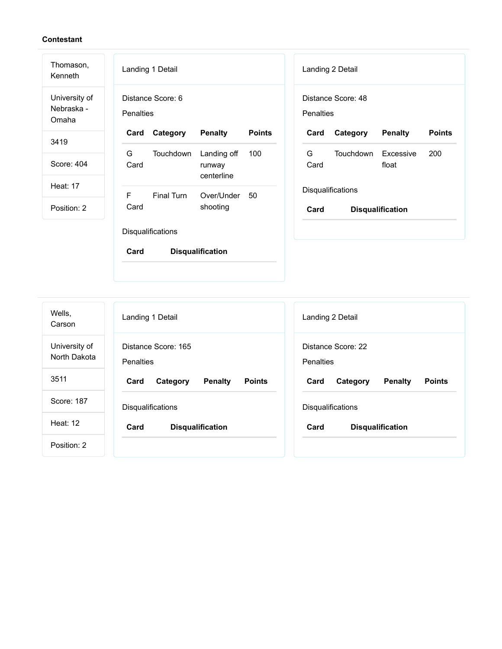| Thomason,<br>Kenneth                 | Landing 1 Detail<br>Landing 2 Detail                                                                          |
|--------------------------------------|---------------------------------------------------------------------------------------------------------------|
| University of<br>Nebraska -<br>Omaha | Distance Score: 48<br>Distance Score: 6<br><b>Penalties</b><br>Penalties                                      |
| 3419                                 | Category<br><b>Penalty</b><br><b>Points</b><br>Category<br><b>Penalty</b><br><b>Points</b><br>Card<br>Card    |
| Score: 404                           | G<br>Landing off<br>Touchdown<br>200<br>Touchdown<br>100<br>G<br>Excessive<br>Card<br>Card<br>float<br>runway |
| <b>Heat: 17</b>                      | centerline<br>Disqualifications                                                                               |
| Position: 2                          | F<br>Final Turn<br>Over/Under<br>50<br>Card<br>shooting<br>Card<br><b>Disqualification</b>                    |
|                                      | Disqualifications                                                                                             |
|                                      | Card<br><b>Disqualification</b>                                                                               |
|                                      |                                                                                                               |

| Wells,<br>Carson              | Landing 1 Detail                                    | Landing 2 Detail                                    |
|-------------------------------|-----------------------------------------------------|-----------------------------------------------------|
| University of<br>North Dakota | Distance Score: 165<br><b>Penalties</b>             | Distance Score: 22<br><b>Penalties</b>              |
| 3511                          | <b>Points</b><br><b>Penalty</b><br>Card<br>Category | <b>Penalty</b><br><b>Points</b><br>Card<br>Category |
| Score: 187                    | <b>Disqualifications</b>                            | <b>Disqualifications</b>                            |
| Heat: 12                      | Card<br><b>Disqualification</b>                     | Card<br><b>Disqualification</b>                     |
| Position: 2                   |                                                     |                                                     |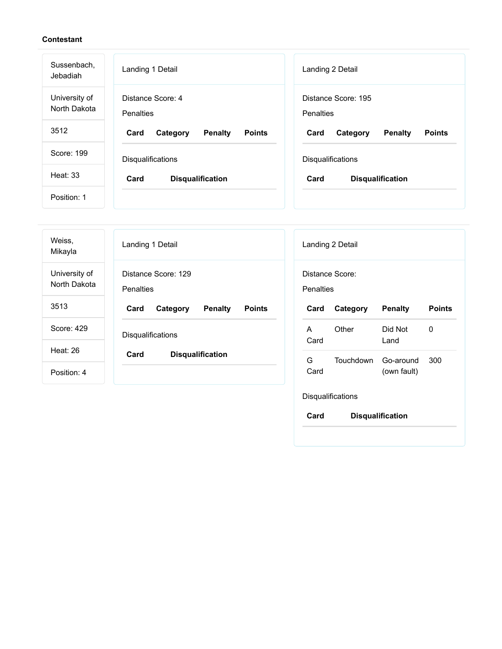| Sussenbach,<br>Jebadiah       | Landing 1 Detail                                    | Landing 2 Detail                                    |
|-------------------------------|-----------------------------------------------------|-----------------------------------------------------|
| University of<br>North Dakota | Distance Score: 4<br><b>Penalties</b>               | Distance Score: 195<br><b>Penalties</b>             |
| 3512                          | Card<br><b>Penalty</b><br><b>Points</b><br>Category | <b>Penalty</b><br><b>Points</b><br>Card<br>Category |
| Score: 199                    | <b>Disqualifications</b>                            | <b>Disqualifications</b>                            |
| Heat: $33$                    | Card<br><b>Disqualification</b>                     | Card<br><b>Disqualification</b>                     |
| Position: 1                   |                                                     |                                                     |

| Weiss,<br>Mikayla             | Landing 1 Detail                                    | Landing 2 Detail                                          |
|-------------------------------|-----------------------------------------------------|-----------------------------------------------------------|
| University of<br>North Dakota | Distance Score: 129<br>Penalties                    | Distance Score:<br><b>Penalties</b>                       |
| 3513                          | <b>Penalty</b><br><b>Points</b><br>Card<br>Category | Category<br><b>Penalty</b><br><b>Points</b><br>Card       |
| Score: 429                    | Disqualifications                                   | Other<br>0<br>Did Not<br>A<br>Card<br>Land                |
| Heat: 26                      | Card<br><b>Disqualification</b>                     |                                                           |
| Position: 4                   |                                                     | G<br>Touchdown<br>300<br>Go-around<br>Card<br>(own fault) |
|                               |                                                     | Disqualifications                                         |

**Card Disqualification**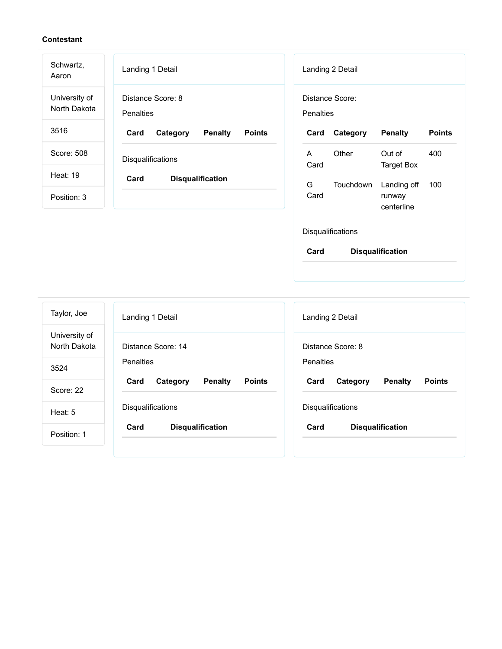| Schwartz,<br>Aaron            | Landing 1 Detail                                    | Landing 2 Detail                                         |
|-------------------------------|-----------------------------------------------------|----------------------------------------------------------|
| University of<br>North Dakota | Distance Score: 8<br>Penalties                      | Distance Score:<br><b>Penalties</b>                      |
| 3516                          | Card<br>Category<br><b>Penalty</b><br><b>Points</b> | <b>Points</b><br>Category<br><b>Penalty</b><br>Card      |
| Score: 508                    | Disqualifications                                   | Other<br>Out of<br>400<br>A<br>Card<br><b>Target Box</b> |
| <b>Heat: 19</b>               | Card<br><b>Disqualification</b>                     | G<br>Touchdown<br>Landing off<br>100                     |
| Position: 3                   |                                                     | Card<br>runway<br>centerline                             |
|                               |                                                     | Disqualifications                                        |
|                               |                                                     | Card<br><b>Disqualification</b>                          |

| Taylor, Joe                   | Landing 1 Detail                                    | Landing 2 Detail                                    |
|-------------------------------|-----------------------------------------------------|-----------------------------------------------------|
| University of<br>North Dakota | Distance Score: 14                                  | Distance Score: 8                                   |
| 3524                          | Penalties                                           | Penalties                                           |
| Score: 22                     | <b>Points</b><br><b>Penalty</b><br>Card<br>Category | <b>Points</b><br>Card<br><b>Penalty</b><br>Category |
| Heat: 5                       | <b>Disqualifications</b>                            | <b>Disqualifications</b>                            |
| Position: 1                   | <b>Disqualification</b><br>Card                     | Card<br><b>Disqualification</b>                     |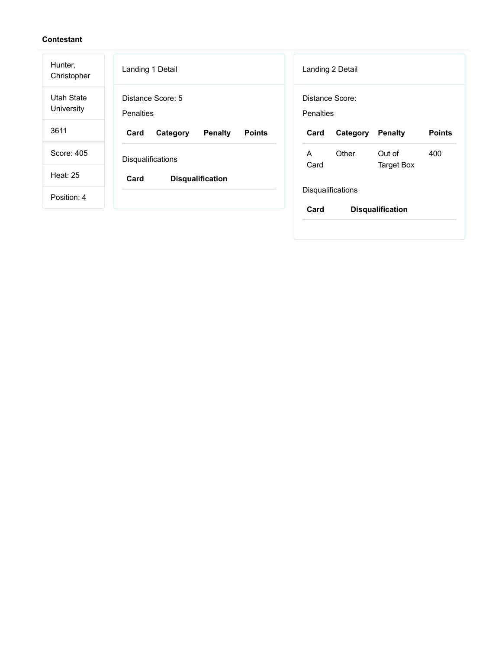| Hunter,<br>Christopher   | Landing 1 Detail                                    | Landing 2 Detail                                            |
|--------------------------|-----------------------------------------------------|-------------------------------------------------------------|
| Utah State<br>University | Distance Score: 5<br><b>Penalties</b>               | Distance Score:<br><b>Penalties</b>                         |
| 3611                     | Card<br><b>Penalty</b><br><b>Points</b><br>Category | <b>Points</b><br>Card<br><b>Penalty</b><br>Category         |
| Score: 405               | <b>Disqualifications</b>                            | A<br>Other<br>Out of<br>400<br>Card                         |
| <b>Heat: 25</b>          | Card<br><b>Disqualification</b>                     | Target Box                                                  |
| Position: 4              |                                                     | <b>Disqualifications</b><br>Card<br><b>Disqualification</b> |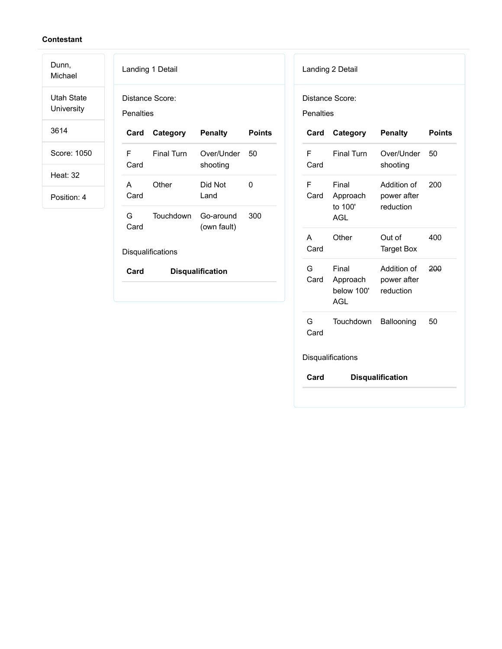Dunn, Michael

Utah State University

3614

Score: 1050

Heat: 32

Position: 4

| Penalties                | Distance Score:   |                          |               |  |  |
|--------------------------|-------------------|--------------------------|---------------|--|--|
| Card                     | Category          | Penalty                  | <b>Points</b> |  |  |
| F<br>Card                | <b>Final Turn</b> | Over/Under<br>shooting   | 50            |  |  |
| A<br>Card                | Other             | Did Not<br>Land          | O             |  |  |
| G –<br>Card              | Touchdown         | Go-around<br>(own fault) | 300           |  |  |
| <b>Disqualifications</b> |                   |                          |               |  |  |
| Card                     |                   | <b>Disqualification</b>  |               |  |  |

| Landing 2 Detail  |                                               |                                         |               |  |  |  |
|-------------------|-----------------------------------------------|-----------------------------------------|---------------|--|--|--|
|                   | Distance Score:<br>Penalties                  |                                         |               |  |  |  |
| Card              | Category                                      | <b>Penalty</b>                          | <b>Points</b> |  |  |  |
| F<br>Card         | <b>Final Turn</b>                             | Over/Under<br>shooting                  | 50            |  |  |  |
| F<br>Card         | Final<br>Approach<br>to 100'<br><b>AGL</b>    | Addition of<br>power after<br>reduction | 200           |  |  |  |
| А<br>Card         | Other                                         | Out of<br><b>Target Box</b>             | 400           |  |  |  |
| G<br>Card         | Final<br>Approach<br>below 100'<br><b>AGL</b> | Addition of<br>power after<br>reduction | 200           |  |  |  |
| G.<br>Card        | Touchdown                                     | Ballooning                              | 50            |  |  |  |
| Disqualifications |                                               |                                         |               |  |  |  |
| Card              |                                               | <b>Disqualification</b>                 |               |  |  |  |
|                   |                                               |                                         |               |  |  |  |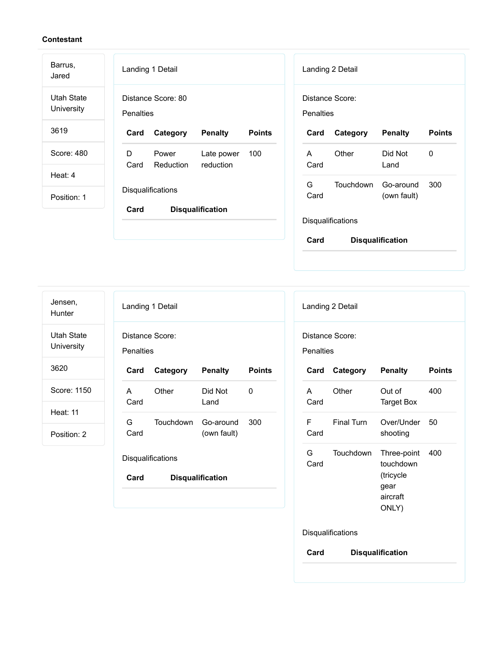| Barrus,<br>Jared                | Landing 1 Detail                                                  | Landing 2 Detail                                    |
|---------------------------------|-------------------------------------------------------------------|-----------------------------------------------------|
| Utah State<br><b>University</b> | Distance Score: 80<br>Penalties                                   | Distance Score:<br>Penalties                        |
| 3619                            | <b>Penalty</b><br><b>Points</b><br>Card<br>Category               | <b>Points</b><br>Card<br>Category<br><b>Penalty</b> |
| Score: 480                      | D<br>Late power<br>100<br>Power<br>Card<br>Reduction<br>reduction | Other<br>Did Not<br>0<br>A<br>Card<br>Land          |
| Heat: $4$                       |                                                                   | G<br><b>Touchdown</b>                               |
| Position: 1                     | Disqualifications<br>Card<br><b>Disqualification</b>              | 300<br>Go-around<br>Card<br>(own fault)             |
|                                 |                                                                   | Disqualifications                                   |
|                                 |                                                                   | Card<br><b>Disqualification</b>                     |

| Jensen,<br>Hunter        | Landing 1 Detail                    |                   |                         |               |  |                  | Landing 2 Detail |                          |               |
|--------------------------|-------------------------------------|-------------------|-------------------------|---------------|--|------------------|------------------|--------------------------|---------------|
| Utah State<br>University | Distance Score:<br><b>Penalties</b> |                   |                         |               |  | <b>Penalties</b> | Distance Score:  |                          |               |
| 3620                     | Card                                | Category          | <b>Penalty</b>          | <b>Points</b> |  | Card             | Category         | <b>Penalty</b>           | <b>Points</b> |
| Score: 1150              | A<br>Card                           | Other             | Did Not<br>Land         | 0             |  | A<br>Card        | Other            | Out of<br>Target Box     | 400           |
| <b>Heat: 11</b>          | G                                   | Touchdown         | Go-around               | 300           |  | F                | Final Turn       | Over/Under               | 50            |
| Position: 2              | Card                                |                   | (own fault)             |               |  | Card             |                  | shooting                 |               |
|                          |                                     | Disqualifications |                         |               |  | G<br>Card        | Touchdown        | Three-point<br>touchdown | 400           |
|                          | Card                                |                   | <b>Disqualification</b> |               |  |                  |                  | (tricycle                |               |

| А<br>Card | Other                    | Out of<br>Target Box                                               | 400 |
|-----------|--------------------------|--------------------------------------------------------------------|-----|
| F<br>Card | <b>Final Turn</b>        | Over/l Inder<br>shooting                                           | 50  |
| G<br>Card | Touchdown                | Three-point<br>touchdown<br>(tricycle<br>gear<br>aircraft<br>ONLY) | 400 |
|           | <b>Disqualifications</b> |                                                                    |     |

**Card Disqualification**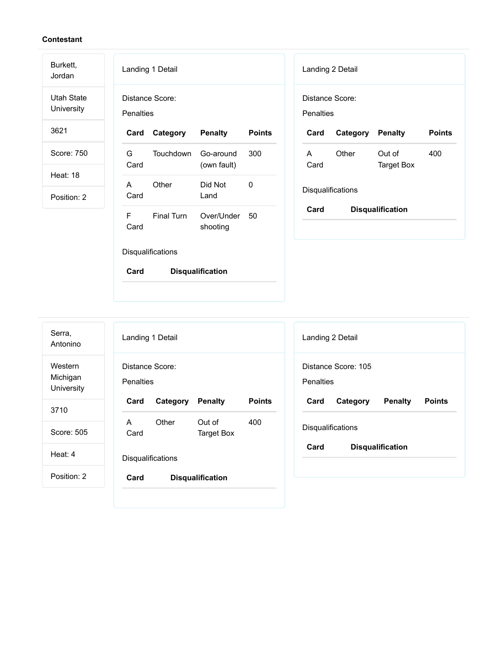| Burkett,<br>Jordan              | Landing 1 Detail<br>Landing 2 Detail                                                                                  |  |
|---------------------------------|-----------------------------------------------------------------------------------------------------------------------|--|
| <b>Utah State</b><br>University | Distance Score:<br>Distance Score:<br>Penalties<br>Penalties                                                          |  |
| 3621                            | <b>Penalty</b><br><b>Points</b><br>Category<br><b>Penalty</b><br><b>Points</b><br>Card<br>Card<br>Category            |  |
| Score: 750                      | G<br>Touchdown<br>300<br>Other<br>Out of<br>400<br>Go-around<br>A<br>Card<br><b>Target Box</b><br>(own fault)<br>Card |  |
| Heat: 18                        | Other<br>Did Not<br>0<br>$\mathsf{A}$                                                                                 |  |
| Position: 2                     | Disqualifications<br>Card<br>Land                                                                                     |  |
|                                 | Card<br><b>Disqualification</b><br>F<br>Final Turn<br>Over/Under<br>50<br>Card<br>shooting                            |  |
|                                 | Disqualifications                                                                                                     |  |
|                                 | Card<br><b>Disqualification</b>                                                                                       |  |
|                                 |                                                                                                                       |  |
|                                 |                                                                                                                       |  |

| Serra,<br>Antonino                | Landing 1 Detail |                   |                         |        |  |
|-----------------------------------|------------------|-------------------|-------------------------|--------|--|
| Western<br>Michigan<br>University | Penalties        | Distance Score:   |                         |        |  |
| 3710                              | Card             | Category          | <b>Penalty</b>          | Points |  |
|                                   | A                | Other             | Out of                  | 400    |  |
| Score: 505                        | Card             |                   | Target Box              |        |  |
| Heat: 4                           |                  | Disqualifications |                         |        |  |
| Position: 2                       | Card             |                   | <b>Disqualification</b> |        |  |

| Landing 2 Detail  |                                 |         |        |  |  |
|-------------------|---------------------------------|---------|--------|--|--|
| <b>Penalties</b>  | Distance Score: 105             |         |        |  |  |
| Card              | Category                        | Penalty | Points |  |  |
| Disqualifications |                                 |         |        |  |  |
|                   | Card<br><b>Disqualification</b> |         |        |  |  |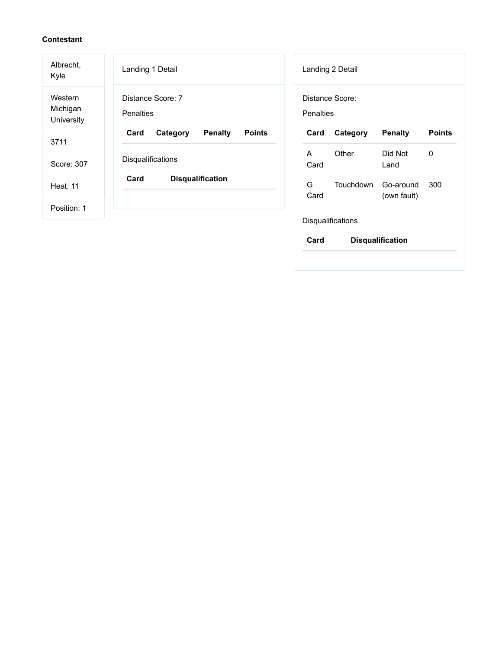| Albrecht,<br>Kyle                 | Landing 1 Detail                                     | Landing 2 Detail                                          |
|-----------------------------------|------------------------------------------------------|-----------------------------------------------------------|
| Western<br>Michigan<br>University | Distance Score: 7<br><b>Penalties</b>                | Distance Score:<br>Penalties                              |
| 3711                              | Card<br><b>Points</b><br>Category<br><b>Penalty</b>  | <b>Penalty</b><br><b>Points</b><br>Card<br>Category       |
| Score: 307                        | Disqualifications<br>Card<br><b>Disqualification</b> | Other<br>Did Not<br>A<br>0<br>Card<br>Land                |
| <b>Heat: 11</b>                   |                                                      | G<br>Touchdown<br>300<br>Go-around<br>Card<br>(own fault) |
| Position: 1                       |                                                      |                                                           |
|                                   |                                                      | Disqualifications                                         |

**Card Disqualification**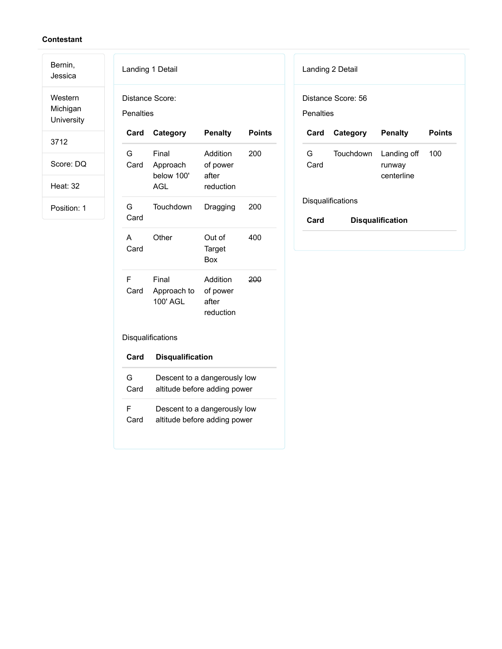## **Contestant**

Bernin, Jessica

Western Michigan University

3712

Score: DQ

Heat: 32

Position: 1

| Landing 1 Detail |                                                              |                                            |        |  |  |  |
|------------------|--------------------------------------------------------------|--------------------------------------------|--------|--|--|--|
| Penalties        | Distance Score:                                              |                                            |        |  |  |  |
| Card             | Category                                                     | <b>Penalty</b>                             | Points |  |  |  |
| G<br>Card        | Final<br>Approach<br>below 100'<br><b>AGL</b>                | Addition<br>of power<br>after<br>reduction | 200    |  |  |  |
| G<br>Card        | Touchdown                                                    | Dragging                                   | 200    |  |  |  |
| А<br>Card        | Other                                                        | Out of<br>Target<br>Box                    | 400    |  |  |  |
| F<br>Card        | Final<br>Approach to of power<br>100' AGL                    | Addition<br>after<br>reduction             | 200    |  |  |  |
|                  | Disqualifications                                            |                                            |        |  |  |  |
| Card             | <b>Disqualification</b>                                      |                                            |        |  |  |  |
| G<br>Card        | Descent to a dangerously low<br>altitude before adding power |                                            |        |  |  |  |
| F<br>Card        | Descent to a dangerously low<br>altitude before adding power |                                            |        |  |  |  |

| Landing 2 Detail                |                         |                                     |               |  |
|---------------------------------|-------------------------|-------------------------------------|---------------|--|
| Distance Score: 56<br>Penalties |                         |                                     |               |  |
| Card                            | Category                | <b>Penalty</b>                      | <b>Points</b> |  |
| G .<br>Card                     | Touchdown               | Landing off<br>runway<br>centerline | 100           |  |
| <b>Disqualifications</b>        |                         |                                     |               |  |
|                                 | <b>Disqualification</b> |                                     |               |  |
| Card                            |                         |                                     |               |  |